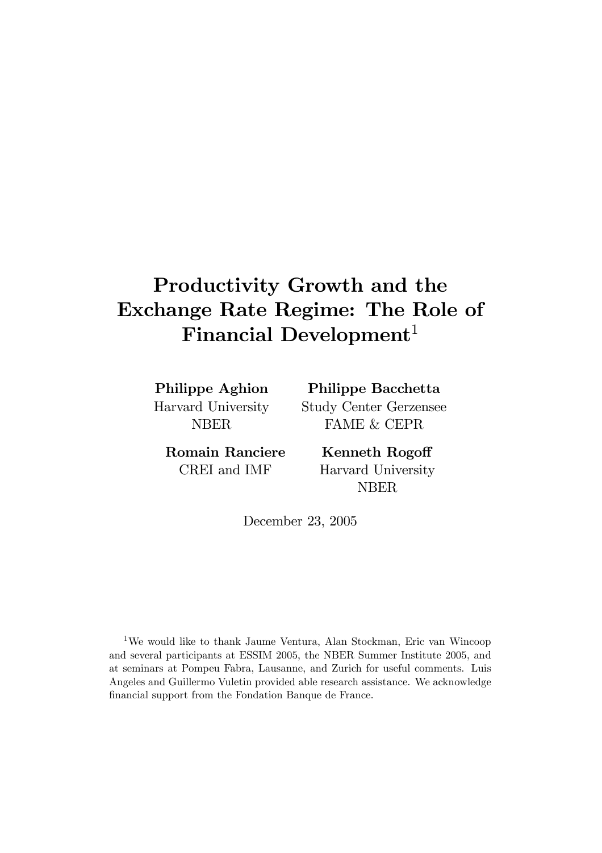# Productivity Growth and the **Exchange Rate Regime: The Role of** Financial Development<sup>1</sup>

**Philippe Aghion** Harvard University **NBER** 

Philippe Bacchetta **Study Center Gerzensee FAME & CEPR** 

**Romain Ranciere** CREI and IMF

**Kenneth Rogoff** Harvard University **NBER** 

December 23, 2005

<sup>1</sup>We would like to thank Jaume Ventura, Alan Stockman, Eric van Wincoop and several participants at ESSIM 2005, the NBER Summer Institute 2005, and at seminars at Pompeu Fabra, Lausanne, and Zurich for useful comments. Luis Angeles and Guillermo Vuletin provided able research assistance. We acknowledge financial support from the Fondation Banque de France.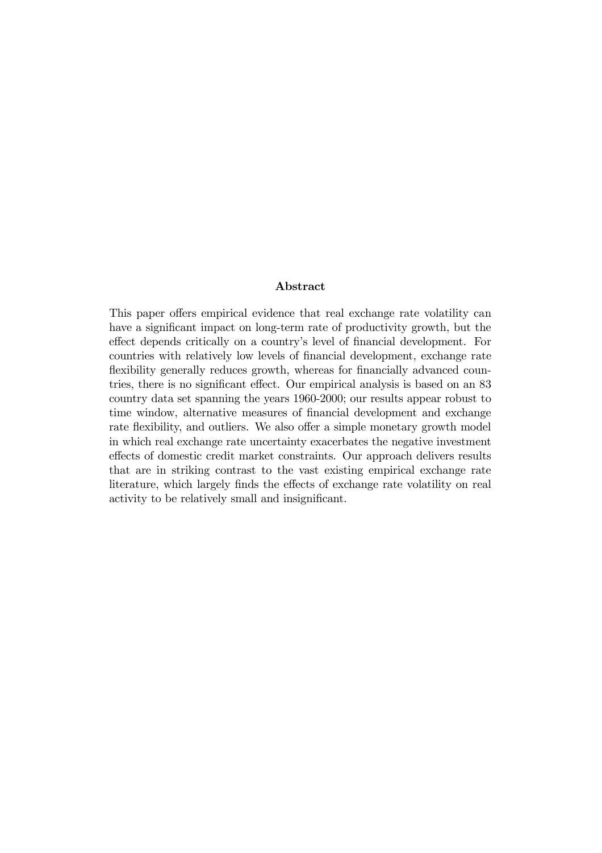### Abstract

This paper offers empirical evidence that real exchange rate volatility can have a significant impact on long-term rate of productivity growth, but the effect depends critically on a country's level of financial development. For countries with relatively low levels of financial development, exchange rate flexibility generally reduces growth, whereas for financially advanced countries, there is no significant effect. Our empirical analysis is based on an 83 country data set spanning the years 1960-2000; our results appear robust to time window, alternative measures of financial development and exchange rate flexibility, and outliers. We also offer a simple monetary growth model in which real exchange rate uncertainty exacerbates the negative investment effects of domestic credit market constraints. Our approach delivers results that are in striking contrast to the vast existing empirical exchange rate literature, which largely finds the effects of exchange rate volatility on real activity to be relatively small and insignificant.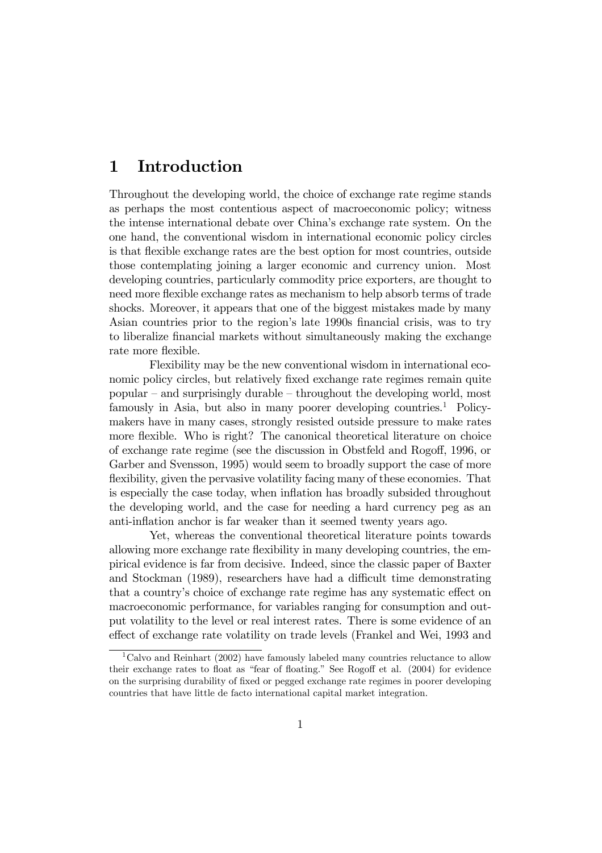#### $\mathbf{1}$ Introduction

Throughout the developing world, the choice of exchange rate regime stands as perhaps the most contentious aspect of macroeconomic policy; witness the internse international debate over China's exchange rate system. On the one hand, the conventional wisdom in international economic policy circles is that flexible exchange rates are the best option for most countries, outside those contemplating joining a larger economic and currency union. Most developing countries, particularly commodity price exporters, are thought to need more flexible exchange rates as mechanism to help absorb terms of trade shocks. Moreover, it appears that one of the biggest mistakes made by many Asian countries prior to the region's late 1990s financial crisis, was to try to liberalize financial markets without simultaneously making the exchange rate more flexible.

Flexibility may be the new conventional wisdom in international economic policy circles, but relatively fixed exchange rate regimes remain quite popular – and surprisingly durable – throughout the developing world, most famously in Asia, but also in many poorer developing countries.<sup>1</sup> Policymakers have in many cases, strongly resisted outside pressure to make rates more flexible. Who is right? The canonical theoretical literature on choice of exchange rate regime (see the discussion in Obstfeld and Rogoff, 1996, or Garber and Svensson, 1995) would seem to broadly support the case of more flexibility, given the pervasive volatility facing many of these economies. That is especially the case today, when inflation has broadly subsided throughout the developing world, and the case for needing a hard currency peg as an anti-inflation anchor is far weaker than it seemed twenty years ago.

Yet, whereas the conventional theoretical literature points towards allowing more exchange rate flexibility in many developing countries, the empirical evidence is far from decisive. Indeed, since the classic paper of Baxter and Stockman (1989), researchers have had a difficult time demonstrating that a country's choice of exchange rate regime has any systematic effect on macroeconomic performance, for variables ranging for consumption and output volatility to the level or real interest rates. There is some evidence of an effect of exchange rate volatility on trade levels (Frankel and Wei, 1993 and

<sup>&</sup>lt;sup>1</sup>Calvo and Reinhart  $(2002)$  have famously labeled many countries reluctance to allow their exchange rates to float as "fear of floating." See Rogoff et al. (2004) for evidence on the surprising durability of fixed or pegged exchange rate regimes in poorer developing countries that have little de facto international capital market integration.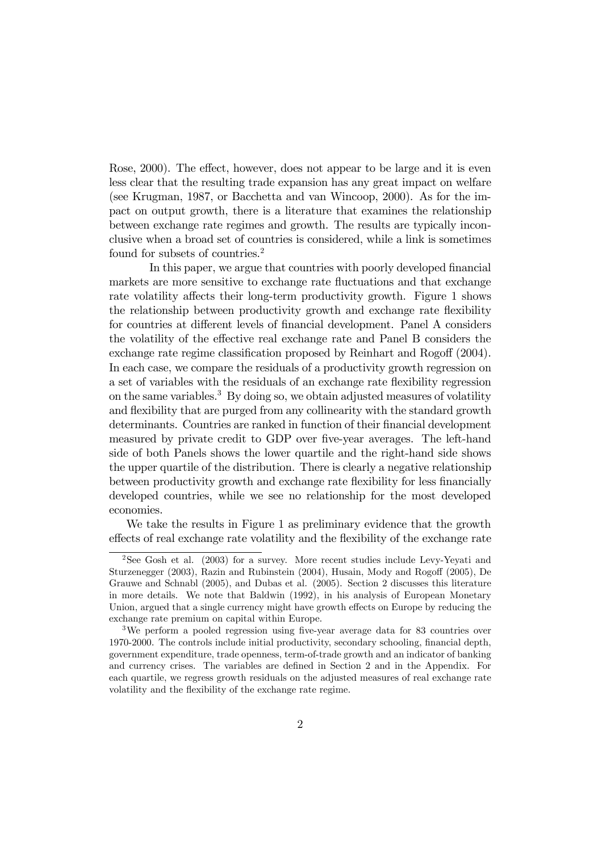Rose, 2000). The effect, however, does not appear to be large and it is even less clear that the resulting trade expansion has any great impact on welfare (see Krugman, 1987, or Bacchetta and van Wincoop, 2000). As for the impact on output growth, there is a literature that examines the relationship between exchange rate regimes and growth. The results are typically inconclusive when a broad set of countries is considered, while a link is sometimes found for subsets of countries.<sup>2</sup>

In this paper, we argue that countries with poorly developed financial markets are more sensitive to exchange rate fluctuations and that exchange rate volatility affects their long-term productivity growth. Figure 1 shows the relationship between productivity growth and exchange rate flexibility for countries at different levels of financial development. Panel A considers the volatility of the effective real exchange rate and Panel B considers the exchange rate regime classification proposed by Reinhart and Rogoff (2004). In each case, we compare the residuals of a productivity growth regression on a set of variables with the residuals of an exchange rate flexibility regression on the same variables.<sup>3</sup> By doing so, we obtain adjusted measures of volatility and flexibility that are purged from any collinearity with the standard growth determinants. Countries are ranked in function of their financial development measured by private credit to GDP over five-year averages. The left-hand side of both Panels shows the lower quartile and the right-hand side shows the upper quartile of the distribution. There is clearly a negative relationship between productivity growth and exchange rate flexibility for less financially developed countries, while we see no relationship for the most developed economies.

We take the results in Figure 1 as preliminary evidence that the growth effects of real exchange rate volatility and the flexibility of the exchange rate

<sup>&</sup>lt;sup>2</sup>See Gosh et al. (2003) for a survey. More recent studies include Levy-Yeyati and Sturzenegger (2003), Razin and Rubinstein (2004), Husain, Mody and Rogoff (2005), De Grauwe and Schnabl (2005), and Dubas et al. (2005). Section 2 discusses this literature in more details. We note that Baldwin (1992), in his analysis of European Monetary Union, argued that a single currency might have growth effects on Europe by reducing the exchange rate premium on capital within Europe.

<sup>&</sup>lt;sup>3</sup>We perform a pooled regression using five-year average data for 83 countries over 1970-2000. The controls include initial productivity, secondary schooling, financial depth, government expenditure, trade openness, term-of-trade growth and an indicator of banking and currency crises. The variables are defined in Section 2 and in the Appendix. For each quartile, we regress growth residuals on the adjusted measures of real exchange rate volatility and the flexibility of the exchange rate regime.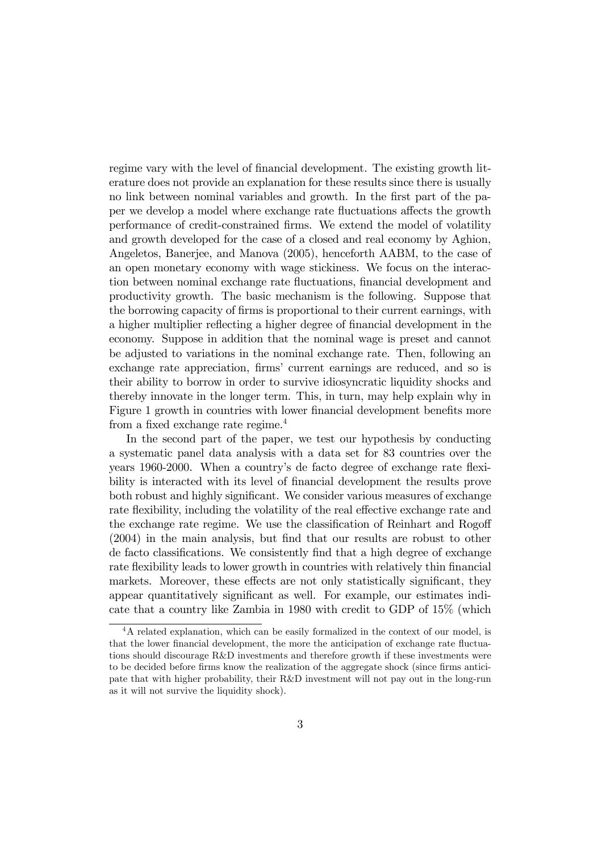regime vary with the level of financial development. The existing growth literature does not provide an explanation for these results since there is usually no link between nominal variables and growth. In the first part of the paper we develop a model where exchange rate fluctuations affects the growth performance of credit-constrained firms. We extend the model of volatility and growth developed for the case of a closed and real economy by Aghion, Angeletos, Banerjee, and Manova (2005), henceforth AABM, to the case of an open monetary economy with wage stickiness. We focus on the interaction between nominal exchange rate fluctuations, financial development and productivity growth. The basic mechanism is the following. Suppose that the borrowing capacity of firms is proportional to their current earnings, with a higher multiplier reflecting a higher degree of financial development in the economy. Suppose in addition that the nominal wage is preset and cannot be adjusted to variations in the nominal exchange rate. Then, following an exchange rate appreciation, firms' current earnings are reduced, and so is their ability to borrow in order to survive idiosyncratic liquidity shocks and thereby innovate in the longer term. This, in turn, may help explain why in Figure 1 growth in countries with lower financial development benefits more from a fixed exchange rate regime. $4$ 

In the second part of the paper, we test our hypothesis by conducting a systematic panel data analysis with a data set for 83 countries over the years 1960-2000. When a country's de facto degree of exchange rate flexibility is interacted with its level of financial development the results prove both robust and highly significant. We consider various measures of exchange rate flexibility, including the volatility of the real effective exchange rate and the exchange rate regime. We use the classification of Reinhart and Rogoff  $(2004)$  in the main analysis, but find that our results are robust to other de facto classifications. We consistently find that a high degree of exchange rate flexibility leads to lower growth in countries with relatively thin financial markets. Moreover, these effects are not only statistically significant, they appear quantitatively significant as well. For example, our estimates indicate that a country like Zambia in 1980 with credit to GDP of 15% (which

 ${}^{4}$ A related explanation, which can be easily formalized in the context of our model, is that the lower financial development, the more the anticipation of exchange rate fluctuations should discourage R&D investments and therefore growth if these investments were to be decided before firms know the realization of the aggregate shock (since firms anticipate that with higher probability, their R&D investment will not pay out in the long-run as it will not survive the liquidity shock).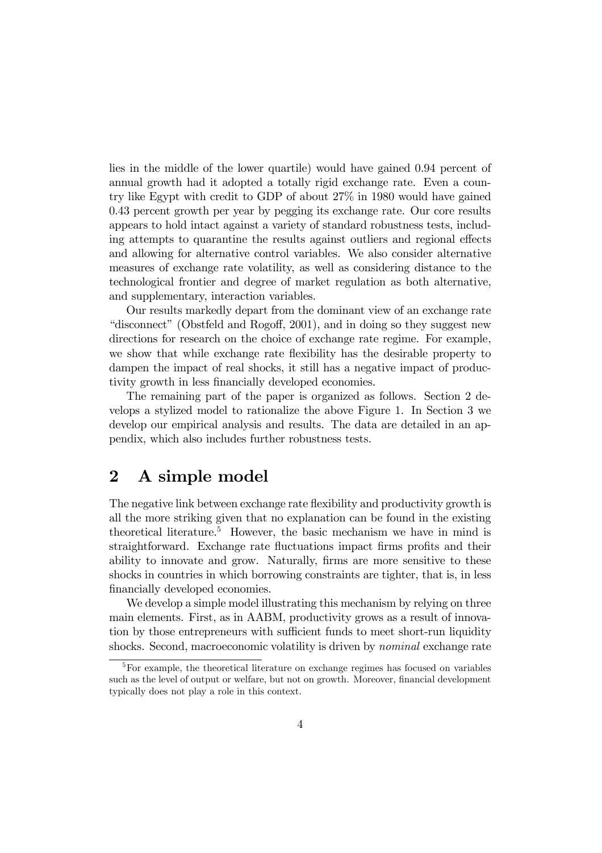lies in the middle of the lower quartile) would have gained 0.94 percent of annual growth had it adopted a totally rigid exchange rate. Even a country like Egypt with credit to GDP of about 27% in 1980 would have gained 0.43 percent growth per year by pegging its exchange rate. Our core results appears to hold intact against a variety of standard robustness tests, including attempts to quarantine the results against outliers and regional effects and allowing for alternative control variables. We also consider alternative measures of exchange rate volatility, as well as considering distance to the technological frontier and degree of market regulation as both alternative, and supplementary, interaction variables.

Our results markedly depart from the dominant view of an exchange rate "disconnect" (Obstfeld and Rogoff, 2001), and in doing so they suggest new directions for research on the choice of exchange rate regime. For example, we show that while exchange rate flexibility has the desirable property to dampen the impact of real shocks, it still has a negative impact of productivity growth in less financially developed economies.

The remaining part of the paper is organized as follows. Section 2 develops a stylized model to rationalize the above Figure 1. In Section 3 we develop our empirical analysis and results. The data are detailed in an appendix, which also includes further robustness tests.

#### $\mathbf{2}$ A simple model

The negative link between exchange rate flexibility and productivity growth is all the more striking given that no explanation can be found in the existing theoretical literature.<sup>5</sup> However, the basic mechanism we have in mind is straightforward. Exchange rate fluctuations impact firms profits and their ability to innovate and grow. Naturally, firms are more sensitive to these shocks in countries in which borrowing constraints are tighter, that is, in less financially developed economies.

We develop a simple model illustrating this mechanism by relying on three main elements. First, as in AABM, productivity grows as a result of innovation by those entrepreneurs with sufficient funds to meet short-run liquidity shocks. Second, macroeconomic volatility is driven by *nominal* exchange rate

 ${}^{5}$  For example, the theoretical literature on exchange regimes has focused on variables such as the level of output or welfare, but not on growth. Moreover, financial development typically does not play a role in this context.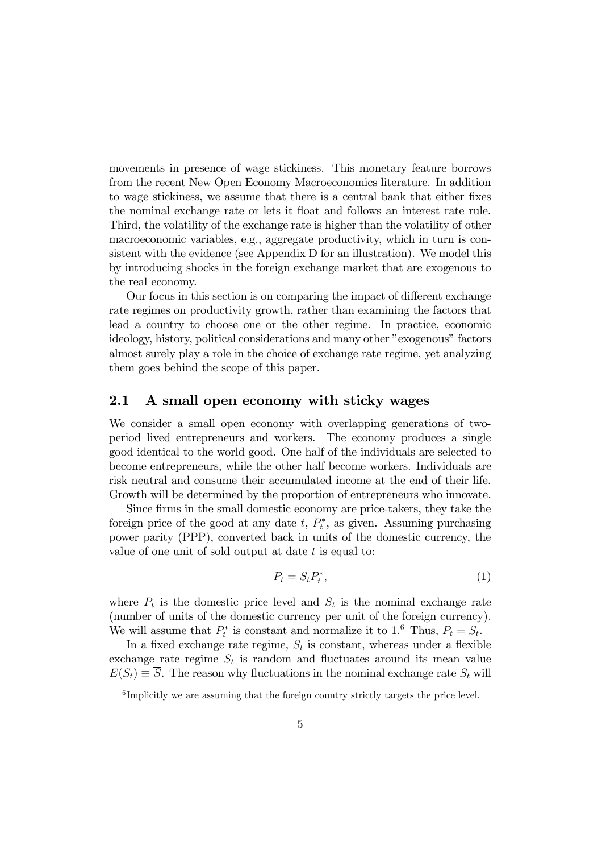movements in presence of wage stickiness. This monetary feature borrows from the recent New Open Economy Macroeconomics literature. In addition to wage stickiness, we assume that there is a central bank that either fixes the nominal exchange rate or lets it float and follows an interest rate rule. Third, the volatility of the exchange rate is higher than the volatility of other macroeconomic variables, e.g., aggregate productivity, which in turn is consistent with the evidence (see Appendix D for an illustration). We model this by introducing shocks in the foreign exchange market that are exogenous to the real economy.

Our focus in this section is on comparing the impact of different exchange rate regimes on productivity growth, rather than examining the factors that lead a country to choose one or the other regime. In practice, economic ideology, history, political considerations and many other "exogenous" factors almost surely play a role in the choice of exchange rate regime, yet analyzing them goes behind the scope of this paper.

#### $2.1$ A small open economy with sticky wages

We consider a small open economy with overlapping generations of twoperiod lived entrepreneurs and workers. The economy produces a single good identical to the world good. One half of the individuals are selected to become entrepreneurs, while the other half become workers. Individuals are risk neutral and consume their accumulated income at the end of their life. Growth will be determined by the proportion of entrepreneurs who innovate.

Since firms in the small domestic economy are price-takers, they take the foreign price of the good at any date  $t, P_t^*$ , as given. Assuming purchasing power parity (PPP), converted back in units of the domestic currency, the value of one unit of sold output at date  $t$  is equal to:

$$
P_t = S_t P_t^*,\tag{1}
$$

where  $P_t$  is the domestic price level and  $S_t$  is the nominal exchange rate (number of units of the domestic currency per unit of the foreign currency). We will assume that  $P_t^*$  is constant and normalize it to 1.<sup>6</sup> Thus,  $P_t = S_t$ .

In a fixed exchange rate regime,  $S_t$  is constant, whereas under a flexible exchange rate regime  $S_t$  is random and fluctuates around its mean value  $E(S_t) \equiv \overline{S}$ . The reason why fluctuations in the nominal exchange rate  $S_t$  will

 ${}^{6}$ Implicitly we are assuming that the foreign country strictly targets the price level.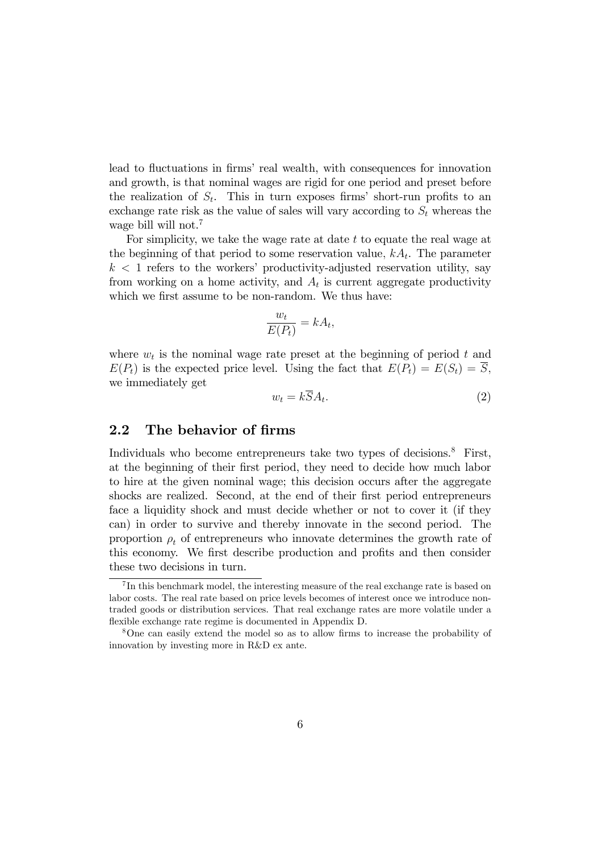lead to fluctuations in firms' real wealth, with consequences for innovation and growth, is that nominal wages are rigid for one period and preset before the realization of  $S_t$ . This in turn exposes firms' short-run profits to an exchange rate risk as the value of sales will vary according to  $S_t$  whereas the wage bill will not.<sup>7</sup>

For simplicity, we take the wage rate at date  $t$  to equate the real wage at the beginning of that period to some reservation value,  $kA_t$ . The parameter  $k < 1$  refers to the workers' productivity-adjusted reservation utility, say from working on a home activity, and  $A_t$  is current aggregate productivity which we first assume to be non-random. We thus have:

$$
\frac{w_t}{E(P_t)} = kA_t
$$

where  $w_t$  is the nominal wage rate preset at the beginning of period t and  $E(P_t)$  is the expected price level. Using the fact that  $E(P_t) = E(S_t) = \overline{S}$ , we immediately get

$$
w_t = kSA_t. \tag{2}
$$

#### $2.2$ The behavior of firms

Individuals who become entrepreneurs take two types of decisions.<sup>8</sup> First, at the beginning of their first period, they need to decide how much labor to hire at the given nominal wage; this decision occurs after the aggregate shocks are realized. Second, at the end of their first period entrepreneurs face a liquidity shock and must decide whether or not to cover it (if they can) in order to survive and thereby innovate in the second period. The proportion  $\rho_t$  of entrepreneurs who innovate determines the growth rate of this economy. We first describe production and profits and then consider these two decisions in turn.

 ${}^{7}$ In this benchmark model, the interesting measure of the real exchange rate is based on labor costs. The real rate based on price levels becomes of interest once we introduce nontraded goods or distribution services. That real exchange rates are more volatile under a flexible exchange rate regime is documented in Appendix D.

<sup>&</sup>lt;sup>8</sup>One can easily extend the model so as to allow firms to increase the probability of innovation by investing more in R&D ex ante.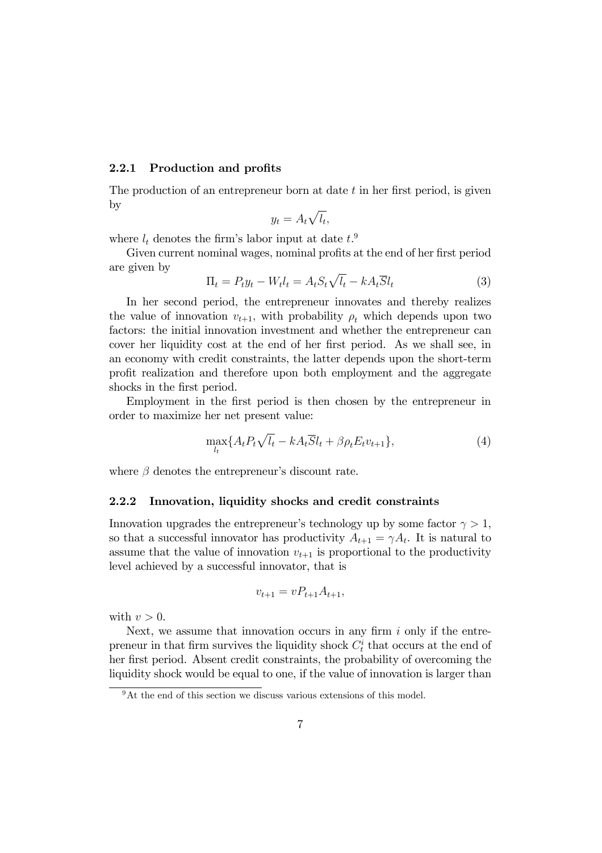#### Production and profits 2.2.1

The production of an entrepreneur born at date t in her first period, is given by

$$
y_t = A_t \sqrt{l_t},
$$

where  $l_t$  denotes the firm's labor input at date  $t$ <sup>9</sup>

Given current nominal wages, nominal profits at the end of her first period are given by

$$
\Pi_t = P_t y_t - W_t l_t = A_t S_t \sqrt{l_t - k A_t S} l_t \tag{3}
$$

In her second period, the entrepreneur innovates and thereby realizes the value of innovation  $v_{t+1}$ , with probability  $\rho_t$  which depends upon two factors: the initial innovation investment and whether the entrepreneur can cover her liquidity cost at the end of her first period. As we shall see, in an economy with credit constraints, the latter depends upon the short-term profit realization and therefore upon both employment and the aggregate shocks in the first period.

Employment in the first period is then chosen by the entrepreneur in order to maximize her net present value:

$$
\max_{l_t} \{ A_t P_t \sqrt{l_t} - k A_t \overline{S} l_t + \beta \rho_t E_t v_{t+1} \},\tag{4}
$$

where  $\beta$  denotes the entrepreneur's discount rate.

#### $2.2.2$ Innovation, liquidity shocks and credit constraints

Innovation upgrades the entrepreneur's technology up by some factor  $\gamma > 1$ , so that a successful innovator has productivity  $A_{t+1} = \gamma A_t$ . It is natural to assume that the value of innovation  $v_{t+1}$  is proportional to the productivity level achieved by a successful innovator, that is

$$
v_{t+1} = v P_{t+1} A_{t+1},
$$

with  $v > 0$ .

Next, we assume that innovation occurs in any firm  $i$  only if the entrepreneur in that firm survives the liquidity shock  $C_t^i$  that occurs at the end of her first period. Absent credit constraints, the probability of overcoming the liquidity shock would be equal to one, if the value of innovation is larger than

 $9$ At the end of this section we discuss various extensions of this model.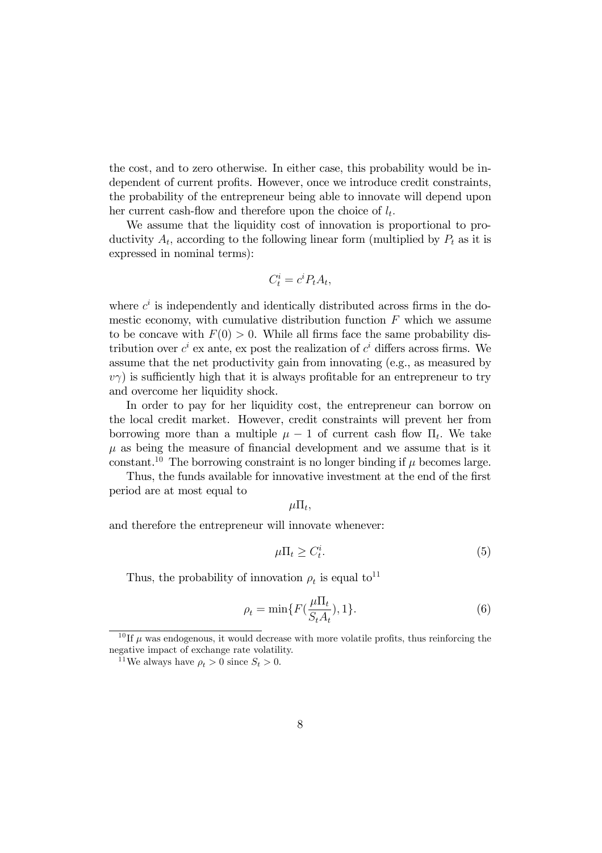the cost, and to zero otherwise. In either case, this probability would be independent of current profits. However, once we introduce credit constraints, the probability of the entrepreneur being able to innovate will depend upon her current cash-flow and therefore upon the choice of  $l_t$ .

We assume that the liquidity cost of innovation is proportional to productivity  $A_t$ , according to the following linear form (multiplied by  $P_t$  as it is expressed in nominal terms):

$$
C_t^i = c^i P_t A_t,
$$

where  $c^i$  is independently and identically distributed across firms in the domestic economy, with cumulative distribution function  $F$  which we assume to be concave with  $F(0) > 0$ . While all firms face the same probability distribution over  $c^i$  ex ante, ex post the realization of  $c^i$  differs across firms. We assume that the net productivity gain from innovating (e.g., as measured by  $v\gamma$ ) is sufficiently high that it is always profitable for an entrepreneur to try and overcome her liquidity shock.

In order to pay for her liquidity cost, the entrepreneur can borrow on the local credit market. However, credit constraints will prevent her from borrowing more than a multiple  $\mu - 1$  of current cash flow  $\Pi_t$ . We take  $\mu$  as being the measure of financial development and we assume that is it constant.<sup>10</sup> The borrowing constraint is no longer binding if  $\mu$  becomes large.

Thus, the funds available for innovative investment at the end of the first period are at most equal to

$$
\mu \Pi_t,
$$

and therefore the entrepreneur will innovate whenever:

$$
\mu \Pi_t \ge C_t^i. \tag{5}
$$

Thus, the probability of innovation  $\rho_t$  is equal to<sup>11</sup>

$$
\rho_t = \min\{F(\frac{\mu \Pi_t}{S_t A_t}), 1\}.
$$
\n(6)

<sup>&</sup>lt;sup>10</sup>If  $\mu$  was endogenous, it would decrease with more volatile profits, thus reinforcing the negative impact of exchange rate volatility.

<sup>&</sup>lt;sup>11</sup>We always have  $\rho_t > 0$  since  $S_t > 0$ .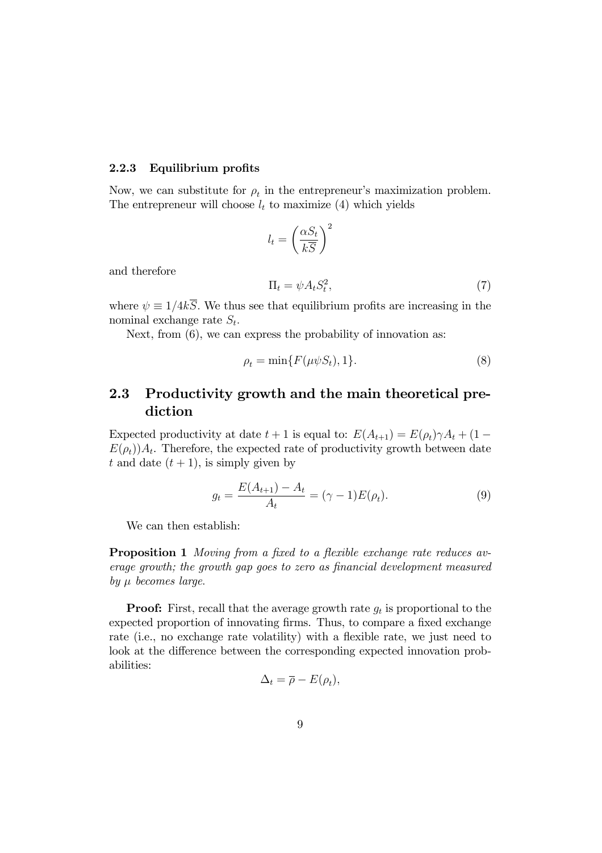#### $2.2.3$ Equilibrium profits

Now, we can substitute for  $\rho_t$  in the entrepreneur's maximization problem. The entrepreneur will choose  $l_t$  to maximize (4) which yields

$$
l_t = \left(\frac{\alpha S_t}{k\overline{S}}\right)^2
$$

and therefore

$$
\Pi_t = \psi A_t S_t^2,\tag{7}
$$

where  $\psi \equiv 1/4k\overline{S}$ . We thus see that equilibrium profits are increasing in the nominal exchange rate  $S_t$ .

Next, from  $(6)$ , we can express the probability of innovation as:

$$
\rho_t = \min\{F(\mu \psi S_t), 1\}.\tag{8}
$$

#### 2.3 Productivity growth and the main theoretical prediction

Expected productivity at date  $t + 1$  is equal to:  $E(A_{t+1}) = E(\rho_t) \gamma A_t + (1 E(\rho_t)A_t$ . Therefore, the expected rate of productivity growth between date t and date  $(t + 1)$ , is simply given by

$$
g_t = \frac{E(A_{t+1}) - A_t}{A_t} = (\gamma - 1)E(\rho_t).
$$
 (9)

We can then establish:

**Proposition 1** Moving from a fixed to a flexible exchange rate reduces average growth; the growth gap goes to zero as financial development measured by  $\mu$  becomes large.

**Proof:** First, recall that the average growth rate  $g_t$  is proportional to the expected proportion of innovating firms. Thus, to compare a fixed exchange rate (i.e., no exchange rate volatility) with a flexible rate, we just need to look at the difference between the corresponding expected innovation probabilities:

$$
\Delta_t = \overline{\rho} - E(\rho_t),
$$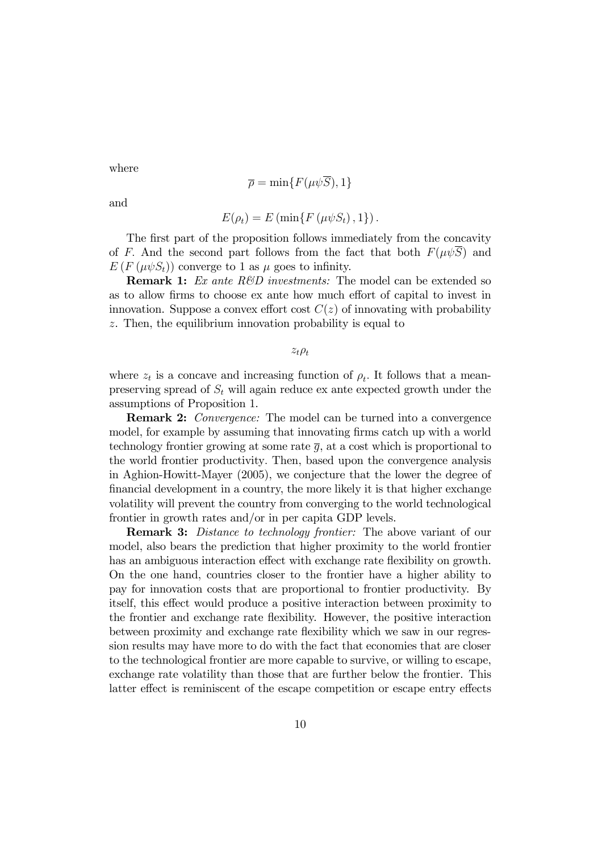where

$$
\overline{\rho} = \min\{F(\mu\psi\overline{S}), 1\}
$$

and

$$
E(\rho_t) = E(\min\{F(\mu\psi S_t), 1\})
$$

The first part of the proposition follows immediately from the concavity of F. And the second part follows from the fact that both  $F(\mu\psi S)$  and  $E(F(\mu \psi S_t))$  converge to 1 as  $\mu$  goes to infinity.

**Remark 1:** Ex ante  $R\&D$  investments: The model can be extended so as to allow firms to choose ex ante how much effort of capital to invest in innovation. Suppose a convex effort cost  $C(z)$  of innovating with probability  $z$ . Then, the equilibrium innovation probability is equal to

 $z_t \rho_t$ 

where  $z_t$  is a concave and increasing function of  $\rho_t$ . It follows that a meanpreserving spread of  $S_t$  will again reduce ex ante expected growth under the assumptions of Proposition 1.

**Remark 2:** Convergence: The model can be turned into a convergence model, for example by assuming that innovating firms catch up with a world technology frontier growing at some rate  $\bar{g}$ , at a cost which is proportional to the world frontier productivity. Then, based upon the convergence analysis in Aghion-Howitt-Mayer (2005), we conjecture that the lower the degree of financial development in a country, the more likely it is that higher exchange volatility will prevent the country from converging to the world technological frontier in growth rates and/or in per capita GDP levels.

**Remark 3:** Distance to technology frontier: The above variant of our model, also bears the prediction that higher proximity to the world frontier has an ambiguous interaction effect with exchange rate flexibility on growth. On the one hand, countries closer to the frontier have a higher ability to pay for innovation costs that are proportional to frontier productivity. By itself, this effect would produce a positive interaction between proximity to the frontier and exchange rate flexibility. However, the positive interaction between proximity and exchange rate flexibility which we saw in our regression results may have more to do with the fact that economies that are closer to the technological frontier are more capable to survive, or willing to escape, exchange rate volatility than those that are further below the frontier. This latter effect is reminiscent of the escape competition or escape entry effects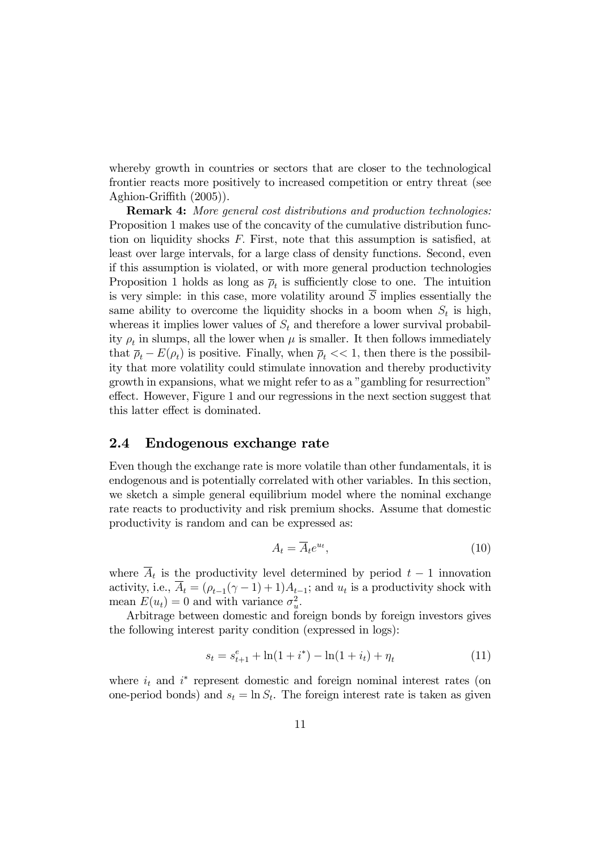whereby growth in countries or sectors that are closer to the technological frontier reacts more positively to increased competition or entry threat (see Aghion-Griffith (2005)).

**Remark 4:** More general cost distributions and production technologies: Proposition 1 makes use of the concavity of the cumulative distribution function on liquidity shocks  $F$ . First, note that this assumption is satisfied, at least over large intervals, for a large class of density functions. Second, even if this assumption is violated, or with more general production technologies Proposition 1 holds as long as  $\bar{\rho}_t$  is sufficiently close to one. The intuition is very simple: in this case, more volatility around  $\overline{S}$  implies essentially the same ability to overcome the liquidity shocks in a boom when  $S_t$  is high, whereas it implies lower values of  $S_t$  and therefore a lower survival probability  $\rho_t$  in slumps, all the lower when  $\mu$  is smaller. It then follows immediately that  $\bar{\rho}_t - E(\rho_t)$  is positive. Finally, when  $\bar{\rho}_t \ll 1$ , then there is the possibility that more volatility could stimulate innovation and thereby productivity growth in expansions, what we might refer to as a "gambling for resurrection" effect. However, Figure 1 and our regressions in the next section suggest that this latter effect is dominated.

#### $2.4$ Endogenous exchange rate

Even though the exchange rate is more volatile than other fundamentals, it is endogenous and is potentially correlated with other variables. In this section, we sketch a simple general equilibrium model where the nominal exchange rate reacts to productivity and risk premium shocks. Assume that domestic productivity is random and can be expressed as:

$$
A_t = \overline{A}_t e^{u_t},\tag{10}
$$

where  $\overline{A}_t$  is the productivity level determined by period  $t-1$  innovation activity, i.e.,  $\overline{A}_t = (\rho_{t-1}(\gamma - 1) + 1)A_{t-1}$ ; and  $u_t$  is a productivity shock with mean  $E(u_t) = 0$  and with variance  $\sigma_u^2$ .

Arbitrage between domestic and foreign bonds by foreign investors gives the following interest parity condition (expressed in logs):

$$
s_t = s_{t+1}^e + \ln(1 + i^*) - \ln(1 + i_t) + \eta_t \tag{11}
$$

where  $i_t$  and  $i^*$  represent domestic and foreign nominal interest rates (on one-period bonds) and  $s_t = \ln S_t$ . The foreign interest rate is taken as given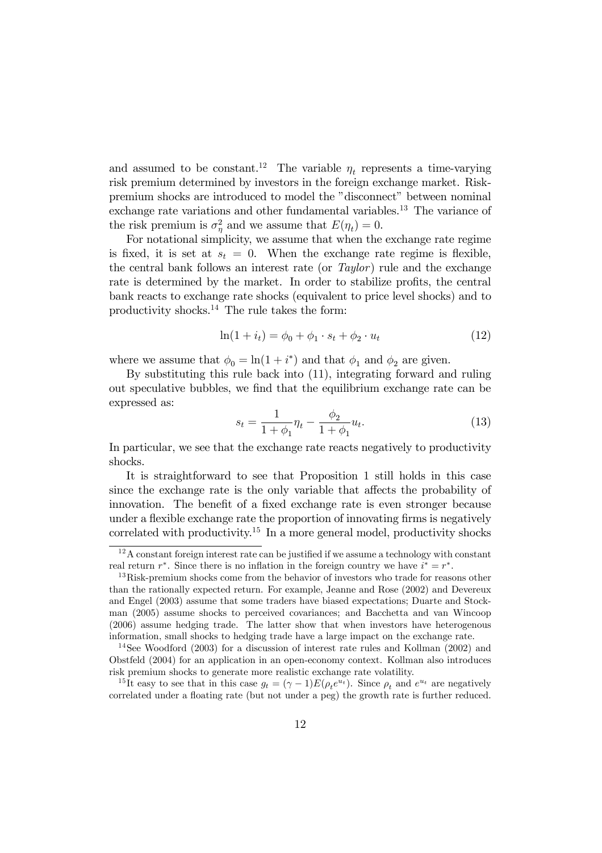and assumed to be constant.<sup>12</sup> The variable  $\eta_t$  represents a time-varying risk premium determined by investors in the foreign exchange market. Riskpremium shocks are introduced to model the "disconnect" between nominal exchange rate variations and other fundamental variables.<sup>13</sup> The variance of the risk premium is  $\sigma_{\eta}^2$  and we assume that  $E(\eta_t) = 0$ .

For notational simplicity, we assume that when the exchange rate regime is fixed, it is set at  $s_t = 0$ . When the exchange rate regime is flexible, the central bank follows an interest rate (or Taylor) rule and the exchange rate is determined by the market. In order to stabilize profits, the central bank reacts to exchange rate shocks (equivalent to price level shocks) and to productivity shocks.<sup>14</sup> The rule takes the form:

$$
\ln(1 + i_t) = \phi_0 + \phi_1 \cdot s_t + \phi_2 \cdot u_t \tag{12}
$$

where we assume that  $\phi_0 = \ln(1 + i^*)$  and that  $\phi_1$  and  $\phi_2$  are given.

By substituting this rule back into (11), integrating forward and ruling out speculative bubbles, we find that the equilibrium exchange rate can be expressed as:

$$
s_t = \frac{1}{1 + \phi_1} \eta_t - \frac{\phi_2}{1 + \phi_1} u_t.
$$
 (13)

In particular, we see that the exchange rate reacts negatively to productivity shocks.

It is straightforward to see that Proposition 1 still holds in this case since the exchange rate is the only variable that affects the probability of innovation. The benefit of a fixed exchange rate is even stronger because under a flexible exchange rate the proportion of innovating firms is negatively correlated with productivity.<sup>15</sup> In a more general model, productivity shocks

 $12A$  constant foreign interest rate can be justified if we assume a technology with constant real return  $r^*$ . Since there is no inflation in the foreign country we have  $i^* = r^*$ .

 $13$  Risk-premium shocks come from the behavior of investors who trade for reasons other than the rationally expected return. For example, Jeanne and Rose (2002) and Devereux and Engel (2003) assume that some traders have biased expectations; Duarte and Stockman (2005) assume shocks to perceived covariances; and Bacchetta and van Wincoop (2006) assume hedging trade. The latter show that when investors have heterogenous information, small shocks to hedging trade have a large impact on the exchange rate.

<sup>&</sup>lt;sup>14</sup>See Woodford (2003) for a discussion of interest rate rules and Kollman (2002) and Obstfeld (2004) for an application in an open-economy context. Kollman also introduces risk premium shocks to generate more realistic exchange rate volatility.

<sup>&</sup>lt;sup>15</sup>It easy to see that in this case  $g_t = (\gamma - 1)E(\rho_t e^{u_t})$ . Since  $\rho_t$  and  $e^{u_t}$  are negatively correlated under a floating rate (but not under a peg) the growth rate is further reduced.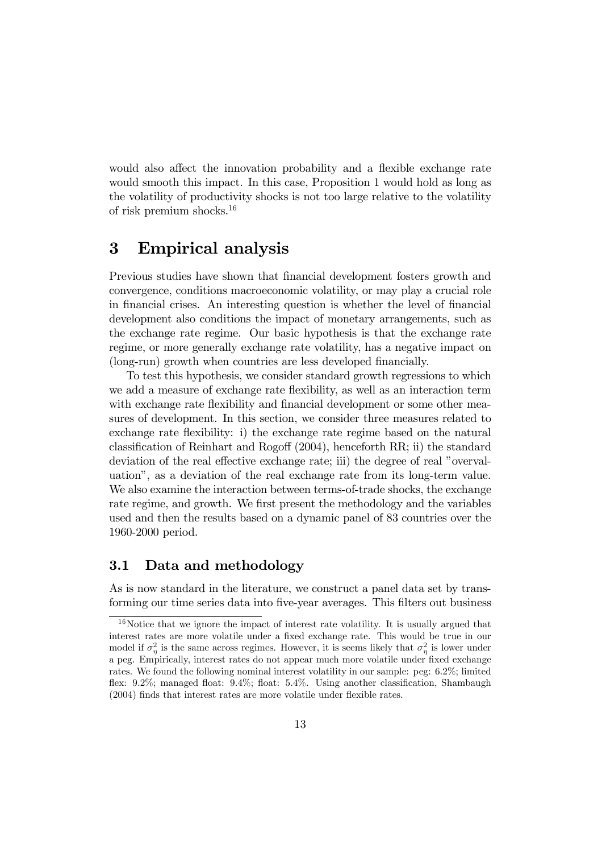would also affect the innovation probability and a flexible exchange rate would smooth this impact. In this case, Proposition 1 would hold as long as the volatility of productivity shocks is not too large relative to the volatility of risk premium shocks. $16$ 

#### $\bf{3}$ **Empirical analysis**

Previous studies have shown that financial development fosters growth and convergence, conditions macroeconomic volatility, or may play a crucial role in financial crises. An interesting question is whether the level of financial development also conditions the impact of monetary arrangements, such as the exchange rate regime. Our basic hypothesis is that the exchange rate regime, or more generally exchange rate volatility, has a negative impact on (long-run) growth when countries are less developed financially.

To test this hypothesis, we consider standard growth regressions to which we add a measure of exchange rate flexibility, as well as an interaction term with exchange rate flexibility and financial development or some other measures of development. In this section, we consider three measures related to exchange rate flexibility: i) the exchange rate regime based on the natural classification of Reinhart and Rogoff  $(2004)$ , henceforth RR; ii) the standard deviation of the real effective exchange rate; iii) the degree of real "overvaluation", as a deviation of the real exchange rate from its long-term value. We also examine the interaction between terms-of-trade shocks, the exchange rate regime, and growth. We first present the methodology and the variables used and then the results based on a dynamic panel of 83 countries over the 1960-2000 period.

#### $3.1$ Data and methodology

As is now standard in the literature, we construct a panel data set by transforming our time series data into five-year averages. This filters out business

 $16$ Notice that we ignore the impact of interest rate volatility. It is usually argued that interest rates are more volatile under a fixed exchange rate. This would be true in our model if  $\sigma_n^2$  is the same across regimes. However, it is seems likely that  $\sigma_n^2$  is lower under a peg. Empirically, interest rates do not appear much more volatile under fixed exchange rates. We found the following nominal interest volatility in our sample: peg: 6.2%; limited flex: 9.2%; managed float: 9.4%; float: 5.4%. Using another classification, Shambaugh  $(2004)$  finds that interest rates are more volatile under flexible rates.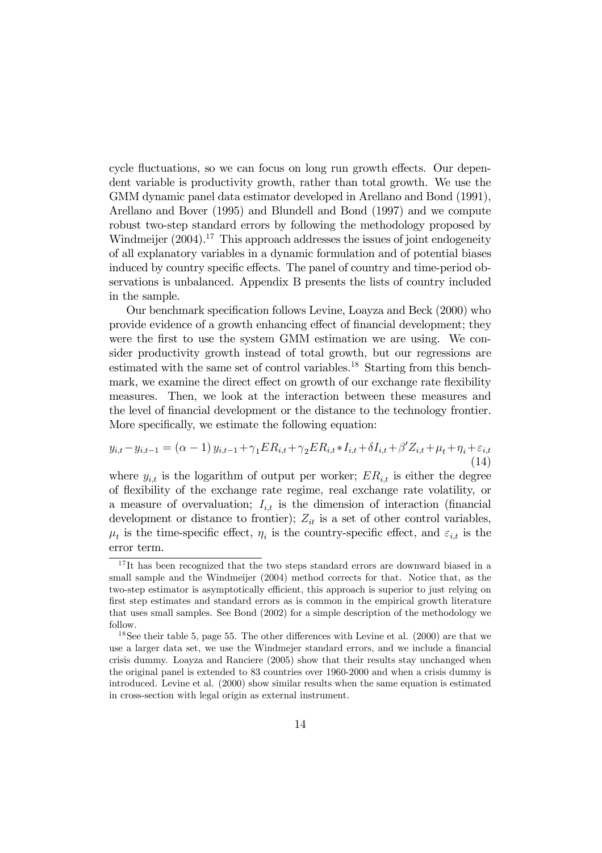cycle fluctuations, so we can focus on long run growth effects. Our dependent variable is productivity growth, rather than total growth. We use the GMM dynamic panel data estimator developed in Arellano and Bond (1991), Arellano and Bover (1995) and Blundell and Bond (1997) and we compute robust two-step standard errors by following the methodology proposed by Windmeijer  $(2004).^{17}$  This approach addresses the issues of joint endogeneity of all explanatory variables in a dynamic formulation and of potential biases induced by country specific effects. The panel of country and time-period observations is unbalanced. Appendix B presents the lists of country included in the sample.

Our benchmark specification follows Levine, Loayza and Beck (2000) who provide evidence of a growth enhancing effect of financial development; they were the first to use the system GMM estimation we are using. We consider productivity growth instead of total growth, but our regressions are estimated with the same set of control variables.<sup>18</sup> Starting from this benchmark, we examine the direct effect on growth of our exchange rate flexibility measures. Then, we look at the interaction between these measures and the level of financial development or the distance to the technology frontier. More specifically, we estimate the following equation:

$$
y_{i,t} - y_{i,t-1} = (\alpha - 1) y_{i,t-1} + \gamma_1 ER_{i,t} + \gamma_2 ER_{i,t} * I_{i,t} + \delta I_{i,t} + \beta' Z_{i,t} + \mu_t + \eta_i + \varepsilon_{i,t}
$$
\n(14)

where  $y_{i,t}$  is the logarithm of output per worker;  $ER_{i,t}$  is either the degree of flexibility of the exchange rate regime, real exchange rate volatility, or a measure of overvaluation;  $I_{i,t}$  is the dimension of interaction (financial development or distance to frontier);  $Z_{it}$  is a set of other control variables,  $\mu_t$  is the time-specific effect,  $\eta_i$  is the country-specific effect, and  $\varepsilon_{i,t}$  is the error term.

 $17$ It has been recognized that the two steps standard errors are downward biased in a small sample and the Windmeijer (2004) method corrects for that. Notice that, as the two-step estimator is asymptotically efficient, this approach is superior to just relying on first step estimates and standard errors as is common in the empirical growth literature that uses small samples. See Bond (2002) for a simple description of the methodology we follow.

<sup>&</sup>lt;sup>18</sup>See their table 5, page 55. The other differences with Levine et al.  $(2000)$  are that we use a larger data set, we use the Windmejer standard errors, and we include a financial crisis dummy. Loayza and Ranciere (2005) show that their results stay unchanged when the original panel is extended to 83 countries over 1960-2000 and when a crisis dummy is introduced. Levine et al. (2000) show similar results when the same equation is estimated in cross-section with legal origin as external instrument.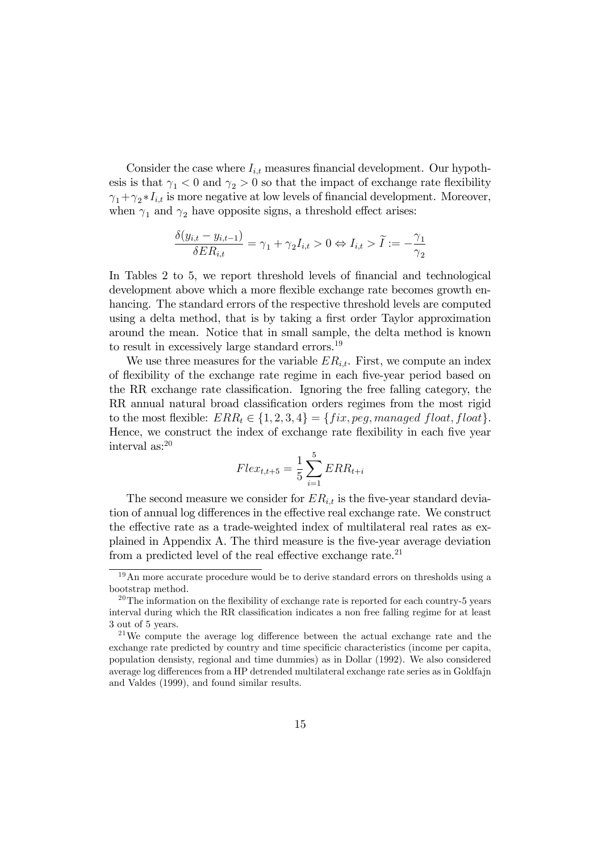Consider the case where  $I_{i,t}$  measures financial development. Our hypothesis is that  $\gamma_1 < 0$  and  $\gamma_2 > 0$  so that the impact of exchange rate flexibility  $\gamma_1 + \gamma_2 * I_{i,t}$  is more negative at low levels of financial development. Moreover, when  $\gamma_1$  and  $\gamma_2$  have opposite signs, a threshold effect arises:

$$
\frac{\delta(y_{i,t} - y_{i,t-1})}{\delta ER_{i,t}} = \gamma_1 + \gamma_2 I_{i,t} > 0 \Leftrightarrow I_{i,t} > \widetilde{I} := -\frac{\gamma_1}{\gamma_2}
$$

In Tables 2 to 5, we report threshold levels of financial and technological development above which a more flexible exchange rate becomes growth enhancing. The standard errors of the respective threshold levels are computed using a delta method, that is by taking a first order Taylor approximation around the mean. Notice that in small sample, the delta method is known to result in excessively large standard errors.<sup>19</sup>

We use three measures for the variable  $ER_{i,t}$ . First, we compute an index of flexibility of the exchange rate regime in each five-year period based on the RR exchange rate classification. Ignoring the free falling category, the RR annual natural broad classification orders regimes from the most rigid to the most flexible:  $ERR_t \in \{1,2,3,4\} = \{fix, peg, managed float, float\}.$ Hence, we construct the index of exchange rate flexibility in each five year interval as: $^{20}$ 

$$
Flex_{t,t+5} = \frac{1}{5} \sum_{i=1}^{5} ERR_{t+i}
$$

The second measure we consider for  $ER_{i,t}$  is the five-year standard deviation of annual log differences in the effective real exchange rate. We construct the effective rate as a trade-weighted index of multilateral real rates as explained in Appendix A. The third measure is the five-year average deviation from a predicted level of the real effective exchange rate.<sup>21</sup>

 $19$ An more accurate procedure would be to derive standard errors on thresholds using a bootstrap method.

 $20$ The information on the flexibility of exchange rate is reported for each country-5 years interval during which the RR classification indicates a non free falling regime for at least 3 out of 5 years.

 $21$ We compute the average log difference between the actual exchange rate and the exchange rate predicted by country and time specificic characteristics (income per capita, population densisty, regional and time dummies) as in Dollar (1992). We also considered average log differences from a HP detrended multilateral exchange rate series as in Goldfain and Valdes (1999), and found similar results.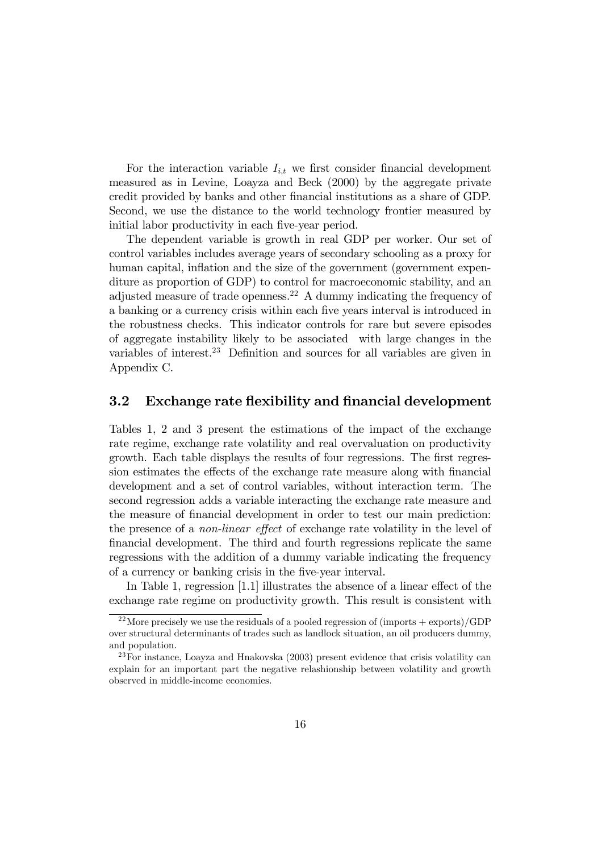For the interaction variable  $I_{i,t}$  we first consider financial development measured as in Levine, Loayza and Beck (2000) by the aggregate private credit provided by banks and other financial institutions as a share of GDP. Second, we use the distance to the world technology frontier measured by initial labor productivity in each five-year period.

The dependent variable is growth in real GDP per worker. Our set of control variables includes average years of secondary schooling as a proxy for human capital, inflation and the size of the government (government expenditure as proportion of GDP) to control for macroeconomic stability, and an adjusted measure of trade openness.<sup>22</sup> A dummy indicating the frequency of a banking or a currency crisis within each five years interval is introduced in the robustness checks. This indicator controls for rare but severe episodes of aggregate instability likely to be associated with large changes in the variables of interest.<sup>23</sup> Definition and sources for all variables are given in Appendix C.

#### $3.2$ Exchange rate flexibility and financial development

Tables 1, 2 and 3 present the estimations of the impact of the exchange rate regime, exchange rate volatility and real overvaluation on productivity growth. Each table displays the results of four regressions. The first regression estimates the effects of the exchange rate measure along with financial development and a set of control variables, without interaction term. The second regression adds a variable interacting the exchange rate measure and the measure of financial development in order to test our main prediction: the presence of a *non-linear effect* of exchange rate volatility in the level of financial development. The third and fourth regressions replicate the same regressions with the addition of a dummy variable indicating the frequency of a currency or banking crisis in the five-year interval.

In Table 1, regression [1.1] illustrates the absence of a linear effect of the exchange rate regime on productivity growth. This result is consistent with

<sup>&</sup>lt;sup>22</sup>More precisely we use the residuals of a pooled regression of  $($ imports + exports $)/GDP$ over structural determinants of trades such as landlock situation, an oil producers dummy, and population.

 $^{23}$  For instance. Loavza and Hnakovska (2003) present evidence that crisis volatility can explain for an important part the negative relashionship between volatility and growth observed in middle-income economies.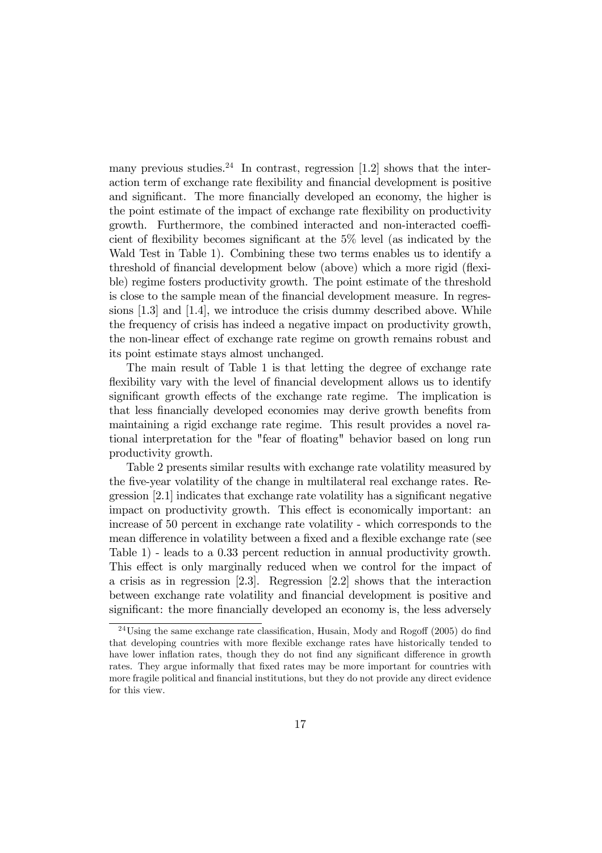many previous studies.<sup>24</sup> In contrast, regression [1.2] shows that the interaction term of exchange rate flexibility and financial development is positive and significant. The more financially developed an economy, the higher is the point estimate of the impact of exchange rate flexibility on productivity growth. Furthermore, the combined interacted and non-interacted coefficient of flexibility becomes significant at the 5% level (as indicated by the Wald Test in Table 1). Combining these two terms enables us to identify a threshold of financial development below (above) which a more rigid (flexible) regime fosters productivity growth. The point estimate of the threshold is close to the sample mean of the financial development measure. In regressions  $[1.3]$  and  $[1.4]$ , we introduce the crisis dummy described above. While the frequency of crisis has indeed a negative impact on productivity growth, the non-linear effect of exchange rate regime on growth remains robust and its point estimate stays almost unchanged.

The main result of Table 1 is that letting the degree of exchange rate flexibility vary with the level of financial development allows us to identify significant growth effects of the exchange rate regime. The implication is that less financially developed economies may derive growth benefits from maintaining a rigid exchange rate regime. This result provides a novel rational interpretation for the "fear of floating" behavior based on long run productivity growth.

Table 2 presents similar results with exchange rate volatility measured by the five-year volatility of the change in multilateral real exchange rates. Regression [2.1] indicates that exchange rate volatility has a significant negative impact on productivity growth. This effect is economically important: an increase of 50 percent in exchange rate volatility - which corresponds to the mean difference in volatility between a fixed and a flexible exchange rate (see Table 1) - leads to a  $0.33$  percent reduction in annual productivity growth. This effect is only marginally reduced when we control for the impact of a crisis as in regression  $[2.3]$ . Regression  $[2.2]$  shows that the interaction between exchange rate volatility and financial development is positive and significant: the more financially developed an economy is, the less adversely

 $^{24}$ Using the same exchange rate classification, Husain, Mody and Rogoff (2005) do find that developing countries with more flexible exchange rates have historically tended to have lower inflation rates, though they do not find any significant difference in growth rates. They argue informally that fixed rates may be more important for countries with more fragile political and financial institutions, but they do not provide any direct evidence for this view.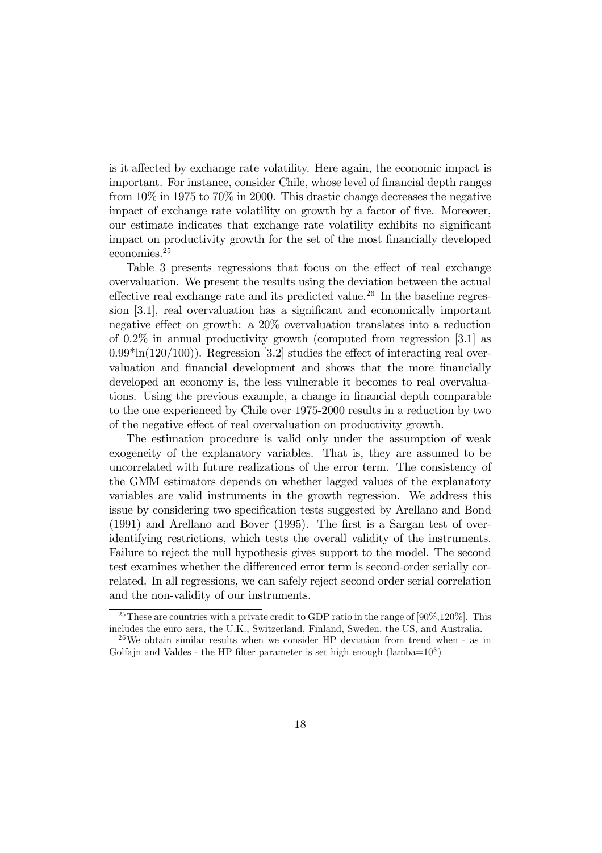is it affected by exchange rate volatility. Here again, the economic impact is important. For instance, consider Chile, whose level of financial depth ranges from  $10\%$  in 1975 to 70% in 2000. This drastic change decreases the negative impact of exchange rate volatility on growth by a factor of five. Moreover, our estimate indicates that exchange rate volatility exhibits no significant impact on productivity growth for the set of the most financially developed economies. $25$ 

Table 3 presents regressions that focus on the effect of real exchange overvaluation. We present the results using the deviation between the actual effective real exchange rate and its predicted value.<sup>26</sup> In the baseline regression [3.1], real overvaluation has a significant and economically important negative effect on growth: a  $20\%$  overvaluation translates into a reduction of 0.2% in annual productivity growth (computed from regression [3.1] as  $(0.99*ln(120/100))$ . Regression [3.2] studies the effect of interacting real overvaluation and financial development and shows that the more financially developed an economy is, the less vulnerable it becomes to real overvaluations. Using the previous example, a change in financial depth comparable to the one experienced by Chile over 1975-2000 results in a reduction by two of the negative effect of real overvaluation on productivity growth.

The estimation procedure is valid only under the assumption of weak exogeneity of the explanatory variables. That is, they are assumed to be uncorrelated with future realizations of the error term. The consistency of the GMM estimators depends on whether lagged values of the explanatory variables are valid instruments in the growth regression. We address this issue by considering two specification tests suggested by Arellano and Bond  $(1991)$  and Arellano and Bover  $(1995)$ . The first is a Sargan test of overidentifying restrictions, which tests the overall validity of the instruments. Failure to reject the null hypothesis gives support to the model. The second test examines whether the differenced error term is second-order serially correlated. In all regressions, we can safely reject second order serial correlation and the non-validity of our instruments.

<sup>&</sup>lt;sup>25</sup>These are countries with a private credit to GDP ratio in the range of [90\%,120\%]. This includes the euro aera, the U.K., Switzerland, Finland, Sweden, the US, and Australia.

<sup>&</sup>lt;sup>26</sup>We obtain similar results when we consider HP deviation from trend when  $\overline{\phantom{a}}$  as in Golfajn and Valdes - the HP filter parameter is set high enough (lamba= $10^8$ )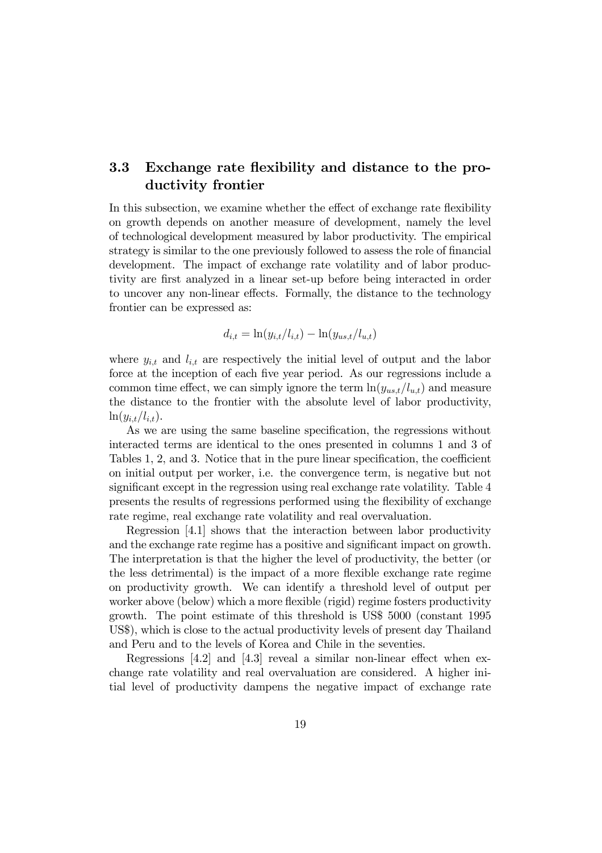#### 3.3 Exchange rate flexibility and distance to the productivity frontier

In this subsection, we examine whether the effect of exchange rate flexibility on growth depends on another measure of development, namely the level of technological development measured by labor productivity. The empirical strategy is similar to the one previously followed to assess the role of financial development. The impact of exchange rate volatility and of labor productivity are first analyzed in a linear set-up before being interacted in order to uncover any non-linear effects. Formally, the distance to the technology frontier can be expressed as:

$$
d_{i,t} = \ln(y_{i,t}/l_{i,t}) - \ln(y_{us,t}/l_{u,t})
$$

where  $y_{i,t}$  and  $l_{i,t}$  are respectively the initial level of output and the labor force at the inception of each five year period. As our regressions include a common time effect, we can simply ignore the term  $\ln(y_{us,t}/l_{u,t})$  and measure the distance to the frontier with the absolute level of labor productivity,  $\ln(y_{i,t}/l_{i,t}).$ 

As we are using the same baseline specification, the regressions without interacted terms are identical to the ones presented in columns 1 and 3 of Tables 1, 2, and 3. Notice that in the pure linear specification, the coefficient on initial output per worker, i.e. the convergence term, is negative but not significant except in the regression using real exchange rate volatility. Table 4 presents the results of regressions performed using the flexibility of exchange rate regime, real exchange rate volatility and real overvaluation.

Regression [4.1] shows that the interaction between labor productivity and the exchange rate regime has a positive and significant impact on growth. The interpretation is that the higher the level of productivity, the better (or the less detrimental) is the impact of a more flexible exchange rate regime on productivity growth. We can identify a threshold level of output per worker above (below) which a more flexible (rigid) regime fosters productivity growth. The point estimate of this threshold is US\$ 5000 (constant 1995) US\$), which is close to the actual productivity levels of present day Thailand and Peru and to the levels of Korea and Chile in the seventies.

Regressions  $[4.2]$  and  $[4.3]$  reveal a similar non-linear effect when exchange rate volatility and real overvaluation are considered. A higher intial level of productivity dampens the negative impact of exchange rate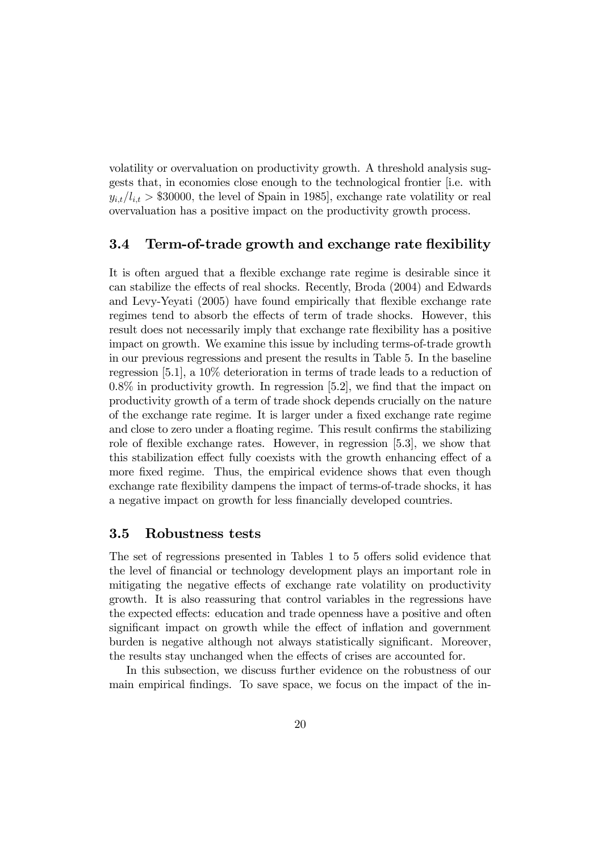volatility or overvaluation on productivity growth. A threshold analysis suggests that, in economies close enough to the technological frontier i.e. with  $y_{i,t}/l_{i,t} > $30000$ , the level of Spain in 1985], exchange rate volatility or real overvaluation has a positive impact on the productivity growth process.

#### $3.4$ Term-of-trade growth and exchange rate flexibility

It is often argued that a flexible exchange rate regime is desirable since it can stabilize the effects of real shocks. Recently, Broda (2004) and Edwards and Levy-Yeyati (2005) have found empirically that flexible exchange rate regimes tend to absorb the effects of term of trade shocks. However, this result does not necessarily imply that exchange rate flexibility has a positive impact on growth. We examine this issue by including terms-of-trade growth in our previous regressions and present the results in Table 5. In the baseline regression [5.1], a  $10\%$  deterioration in terms of trade leads to a reduction of  $0.8\%$  in productivity growth. In regression [5.2], we find that the impact on productivity growth of a term of trade shock depends crucially on the nature of the exchange rate regime. It is larger under a fixed exchange rate regime and close to zero under a floating regime. This result confirms the stabilizing role of flexible exchange rates. However, in regression  $[5.3]$ , we show that this stabilization effect fully coexists with the growth enhancing effect of a more fixed regime. Thus, the empirical evidence shows that even though exchange rate flexibility dampens the impact of terms-of-trade shocks, it has a negative impact on growth for less financially developed countries.

#### $3.5$ Robustness tests

The set of regressions presented in Tables 1 to 5 offers solid evidence that the level of financial or technology development plays an important role in mitigating the negative effects of exchange rate volatility on productivity growth. It is also reassuring that control variables in the regressions have the expected effects: education and trade openness have a positive and often significant impact on growth while the effect of inflation and government burden is negative although not always statistically significant. Moreover, the results stay unchanged when the effects of crises are accounted for.

In this subsection, we discuss further evidence on the robustness of our main empirical findings. To save space, we focus on the impact of the in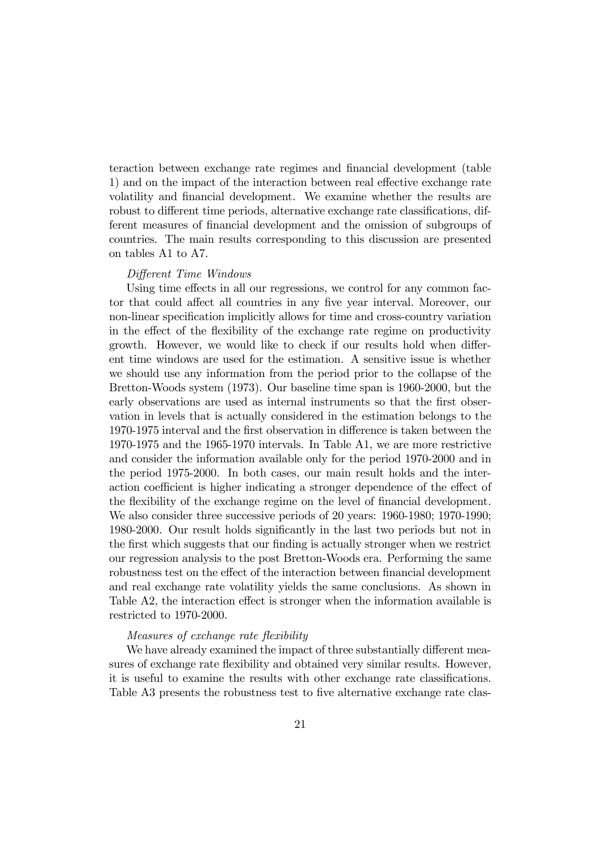teraction between exchange rate regimes and financial development (table 1) and on the impact of the interaction between real effective exchange rate volatility and financial development. We examine whether the results are robust to different time periods, alternative exchange rate classifications, different measures of financial development and the omission of subgroups of countries. The main results corresponding to this discussion are presented on tables A1 to A7.

### Different Time Windows

Using time effects in all our regressions, we control for any common factor that could affect all countries in any five year interval. Moreover, our non-linear specification implicitly allows for time and cross-country variation in the effect of the flexibility of the exchange rate regime on productivity growth. However, we would like to check if our results hold when different time windows are used for the estimation. A sensitive issue is whether we should use any information from the period prior to the collapse of the Bretton-Woods system (1973). Our baseline time span is 1960-2000, but the early observations are used as internal instruments so that the first observation in levels that is actually considered in the estimation belongs to the 1970-1975 interval and the first observation in difference is taken between the 1970-1975 and the 1965-1970 intervals. In Table A1, we are more restrictive and consider the information available only for the period 1970-2000 and in the period 1975-2000. In both cases, our main result holds and the interaction coefficient is higher indicating a stronger dependence of the effect of the flexibility of the exchange regime on the level of financial development. We also consider three successive periods of 20 years: 1960-1980; 1970-1990; 1980-2000. Our result holds significantly in the last two periods but not in the first which suggests that our finding is actually stronger when we restrict our regression analysis to the post Bretton-Woods era. Performing the same robustness test on the effect of the interaction between financial development and real exchange rate volatility yields the same conclusions. As shown in Table A2, the interaction effect is stronger when the information available is restricted to 1970-2000.

#### Measures of exchange rate flexibility

We have already examined the impact of three substantially different measures of exchange rate flexibility and obtained very similar results. However, it is useful to examine the results with other exchange rate classifications. Table A3 presents the robustness test to five alternative exchange rate clas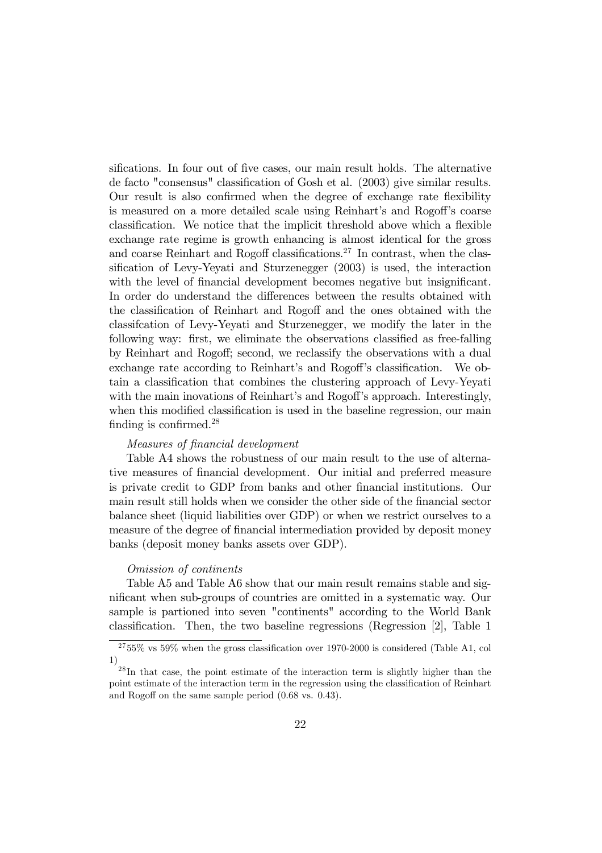sifications. In four out of five cases, our main result holds. The alternative de facto "consensus" classification of Gosh et al. (2003) give similar results. Our result is also confirmed when the degree of exchange rate flexibility is measured on a more detailed scale using Reinhart's and Rogoff's coarse classification. We notice that the implicit threshold above which a flexible exchange rate regime is growth enhancing is almost identical for the gross and coarse Reinhart and Rogoff classifications.<sup>27</sup> In contrast, when the classification of Levy-Yeyati and Sturzenegger (2003) is used, the interaction with the level of financial development becomes negative but insignificant. In order do understand the differences between the results obtained with the classification of Reinhart and Rogoff and the ones obtained with the classification of Levy-Yeyati and Sturzenegger, we modify the later in the following way: first, we eliminate the observations classified as free-falling by Reinhart and Rogoff; second, we reclassify the observations with a dual exchange rate according to Reinhart's and Rogoff's classification. We obtain a classification that combines the clustering approach of Levy-Yeyati with the main inovations of Reinhart's and Rogoff's approach. Interestingly, when this modified classification is used in the baseline regression, our main finding is confirmed.<sup>28</sup>

### Measures of financial development

Table A4 shows the robustness of our main result to the use of alternative measures of financial development. Our initial and preferred measure is private credit to GDP from banks and other financial institutions. Our main result still holds when we consider the other side of the financial sector balance sheet (liquid liabilities over GDP) or when we restrict ourselves to a measure of the degree of financial intermediation provided by deposit money banks (deposit money banks assets over GDP).

### Omission of continents

Table A5 and Table A6 show that our main result remains stable and significant when sub-groups of countries are omitted in a systematic way. Our sample is partioned into seven "continents" according to the World Bank classification. Then, the two baseline regressions (Regression [2], Table 1

 $2755\%$  vs 59% when the gross classification over 1970-2000 is considered (Table A1, col  $1)$ 

 $^{28}$ In that case, the point estimate of the interaction term is slightly higher than the point estimate of the interaction term in the regression using the classification of Reinhart and Rogoff on the same sample period  $(0.68 \text{ vs. } 0.43)$ .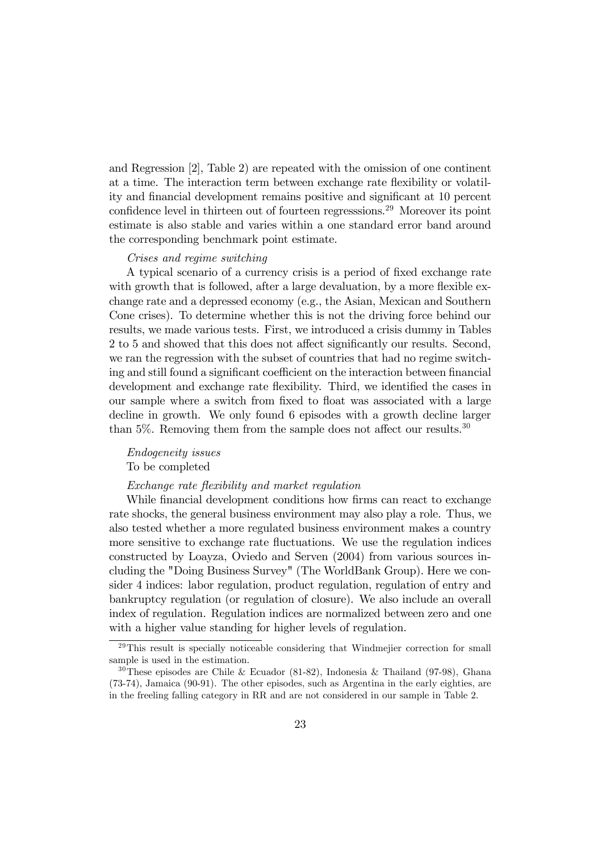and Regression  $[2]$ , Table 2) are repeated with the omission of one continent at a time. The interaction term between exchange rate flexibility or volatility and financial development remains positive and significant at 10 percent confidence level in thirteen out of fourteen regressions.<sup>29</sup> Moreover its point estimate is also stable and varies within a one standard error band around the corresponding benchmark point estimate.

#### Crises and regime switching

A typical scenario of a currency crisis is a period of fixed exchange rate with growth that is followed, after a large devaluation, by a more flexible exchange rate and a depressed economy (e.g., the Asian, Mexican and Southern Cone crises). To determine whether this is not the driving force behind our results, we made various tests. First, we introduced a crisis dummy in Tables 2 to 5 and showed that this does not affect significantly our results. Second, we ran the regression with the subset of countries that had no regime switching and still found a significant coefficient on the interaction between financial development and exchange rate flexibility. Third, we identified the cases in our sample where a switch from fixed to float was associated with a large decline in growth. We only found 6 episodes with a growth decline larger than 5%. Removing them from the sample does not affect our results.<sup>30</sup>

# *Endogeneity issues*

To be completed

### Exchange rate flexibility and market regulation

While financial development conditions how firms can react to exchange rate shocks, the general business environment may also play a role. Thus, we also tested whether a more regulated business environment makes a country more sensitive to exchange rate fluctuations. We use the regulation indices constructed by Loayza, Oviedo and Serven (2004) from various sources including the "Doing Business Survey" (The WorldBank Group). Here we consider 4 indices: labor regulation, product regulation, regulation of entry and bankruptcy regulation (or regulation of closure). We also include an overall index of regulation. Regulation indices are normalized between zero and one with a higher value standing for higher levels of regulation.

 $29$ This result is specially noticeable considering that Windmejier correction for small sample is used in the estimation.

<sup>&</sup>lt;sup>30</sup>These episodes are Chile & Ecuador (81-82), Indonesia & Thailand (97-98), Ghana (73-74), Jamaica (90-91). The other episodes, such as Argentina in the early eighties, are in the freeling falling category in RR and are not considered in our sample in Table 2.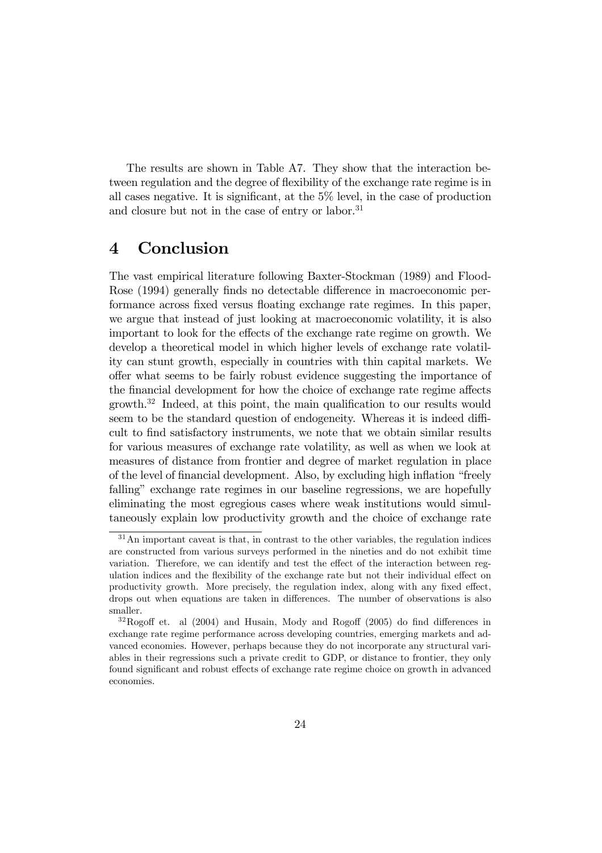The results are shown in Table A7. They show that the interaction between regulation and the degree of flexibility of the exchange rate regime is in all cases negative. It is significant, at the  $5\%$  level, in the case of production and closure but not in the case of entry or labor.<sup>31</sup>

#### Conclusion  $\overline{4}$

The vast empirical literature following Baxter-Stockman (1989) and Flood-Rose (1994) generally finds no detectable difference in macroeconomic performance across fixed versus floating exchange rate regimes. In this paper, we argue that instead of just looking at macroeconomic volatility, it is also important to look for the effects of the exchange rate regime on growth. We develop a theoretical model in which higher levels of exchange rate volatility can stunt growth, especially in countries with thin capital markets. We offer what seems to be fairly robust evidence suggesting the importance of the financial development for how the choice of exchange rate regime affects  $growth.<sup>32</sup> Indeed, at this point, the main qualification to our results would$ seem to be the standard question of endogeneity. Whereas it is indeed difficult to find satisfactory instruments, we note that we obtain similar results for various measures of exchange rate volatility, as well as when we look at measures of distance from frontier and degree of market regulation in place of the level of financial development. Also, by excluding high inflation "freely" falling" exchange rate regimes in our baseline regressions, we are hopefully eliminating the most egregious cases where weak institutions would simultaneously explain low productivity growth and the choice of exchange rate

 $31$ An important caveat is that, in contrast to the other variables, the regulation indices are constructed from various surveys performed in the nineties and do not exhibit time variation. Therefore, we can identify and test the effect of the interaction between regulation indices and the flexibility of the exchange rate but not their individual effect on productivity growth. More precisely, the regulation index, along with any fixed effect, drops out when equations are taken in differences. The number of observations is also smaller.

 $32$ Rogoff et. al (2004) and Husain, Mody and Rogoff (2005) do find differences in exchange rate regime performance across developing countries, emerging markets and advanced economies. However, perhaps because they do not incorporate any structural variables in their regressions such a private credit to GDP, or distance to frontier, they only found significant and robust effects of exchange rate regime choice on growth in advanced economies.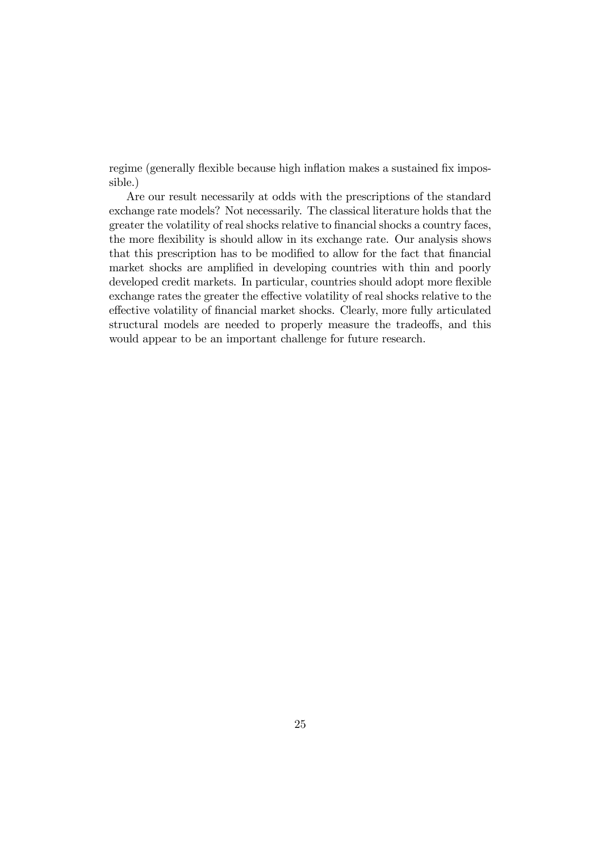regime (generally flexible because high inflation makes a sustained fix impossible.)

Are our result necessarily at odds with the prescriptions of the standard exchange rate models? Not necessarily. The classical literature holds that the greater the volatility of real shocks relative to financial shocks a country faces, the more flexibility is should allow in its exchange rate. Our analysis shows that this prescription has to be modified to allow for the fact that financial market shocks are amplified in developing countries with thin and poorly developed credit markets. In particular, countries should adopt more flexible exchange rates the greater the effective volatility of real shocks relative to the effective volatility of financial market shocks. Clearly, more fully articulated structural models are needed to properly measure the tradeoffs, and this would appear to be an important challenge for future research.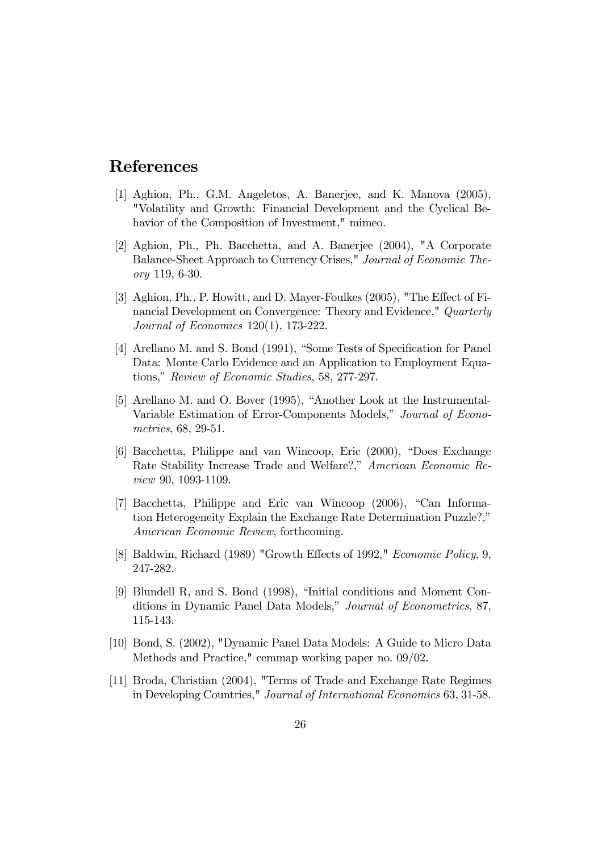# References

- [1] Aghion, Ph., G.M. Angeletos, A. Banerjee, and K. Manova (2005), "Volatility and Growth: Financial Development and the Cyclical Behavior of the Composition of Investment," mimeo.
- [2] Aghion, Ph., Ph. Bacchetta, and A. Banerjee (2004), "A Corporate Balance-Sheet Approach to Currency Crises," Journal of Economic Theory 119, 6-30.
- [3] Aghion, Ph., P. Howitt, and D. Mayer-Foulkes (2005), "The Effect of Financial Development on Convergence: Theory and Evidence," Quarterly Journal of Economics 120(1), 173-222.
- [4] Arellano M. and S. Bond (1991), "Some Tests of Specification for Panel Data: Monte Carlo Evidence and an Application to Employment Equations," Review of Economic Studies, 58, 277-297.
- [5] Arellano M. and O. Bover (1995), "Another Look at the Instrumental-Variable Estimation of Error-Components Models," Journal of Econometrics, 68, 29-51.
- [6] Bacchetta, Philippe and van Wincoop, Eric (2000), "Does Exchange Rate Stability Increase Trade and Welfare?," American Economic Re*view* 90, 1093-1109.
- [7] Bacchetta, Philippe and Eric van Wincoop (2006), "Can Information Heterogeneity Explain the Exchange Rate Determination Puzzle?." American Economic Review, forthcoming.
- [8] Baldwin, Richard (1989) "Growth Effects of 1992," Economic Policy, 9, 247-282.
- [9] Blundell R, and S. Bond (1998), "Initial conditions and Moment Conditions in Dynamic Panel Data Models," Journal of Econometrics, 87, 115-143.
- [10] Bond, S. (2002), "Dynamic Panel Data Models: A Guide to Micro Data Methods and Practice," cemmap working paper no.  $09/02$ .
- [11] Broda, Christian (2004), "Terms of Trade and Exchange Rate Regimes in Developing Countries," Journal of International Economics 63, 31-58.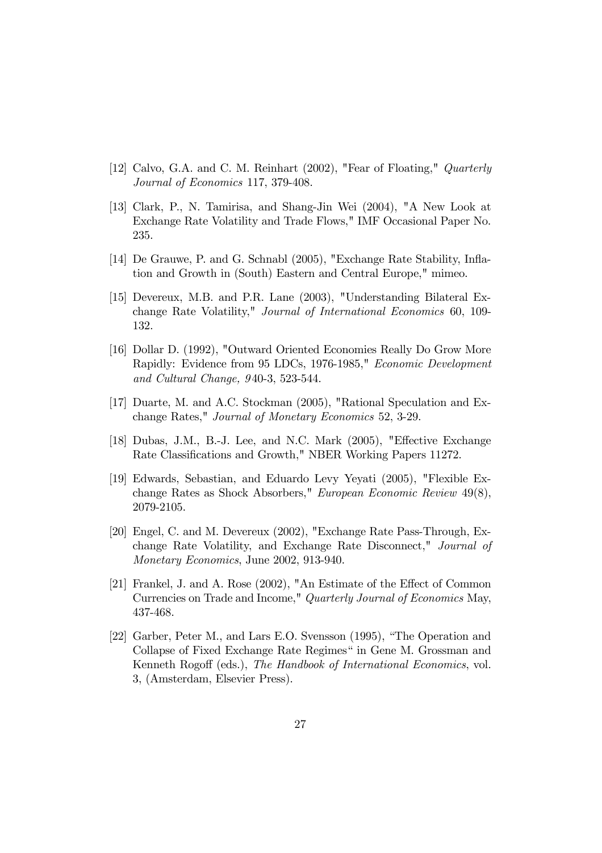- [12] Calvo, G.A. and C. M. Reinhart  $(2002)$ , "Fear of Floating," Quarterly Journal of Economics 117, 379-408.
- [13] Clark, P., N. Tamirisa, and Shang-Jin Wei (2004), "A New Look at Exchange Rate Volatility and Trade Flows," IMF Occasional Paper No. 235.
- [14] De Grauwe, P. and G. Schnabl (2005), "Exchange Rate Stability, Inflation and Growth in (South) Eastern and Central Europe," mimeo.
- [15] Devereux, M.B. and P.R. Lane (2003), "Understanding Bilateral Exchange Rate Volatility," Journal of International Economics 60, 109-132.
- [16] Dollar D. (1992), "Outward Oriented Economies Really Do Grow More Rapidly: Evidence from 95 LDCs, 1976-1985," Economic Development and Cultural Change, 940-3, 523-544.
- [17] Duarte, M. and A.C. Stockman (2005), "Rational Speculation and Exchange Rates," Journal of Monetary Economics 52, 3-29.
- [18] Dubas, J.M., B.-J. Lee, and N.C. Mark (2005), "Effective Exchange Rate Classifications and Growth," NBER Working Papers 11272.
- [19] Edwards, Sebastian, and Eduardo Levy Yeyati (2005), "Flexible Exchange Rates as Shock Absorbers," European Economic Review  $49(8)$ , 2079-2105.
- [20] Engel, C. and M. Devereux (2002), "Exchange Rate Pass-Through, Exchange Rate Volatility, and Exchange Rate Disconnect," Journal of *Monetary Economics*, June 2002, 913-940.
- [21] Frankel, J. and A. Rose (2002), "An Estimate of the Effect of Common Currencies on Trade and Income," Quarterly Journal of Economics May, 437-468.
- [22] Garber, Peter M., and Lars E.O. Svensson (1995), "The Operation and Collapse of Fixed Exchange Rate Regimes" in Gene M. Grossman and Kenneth Rogoff (eds.), The Handbook of International Economics, vol. 3, (Amsterdam, Elsevier Press).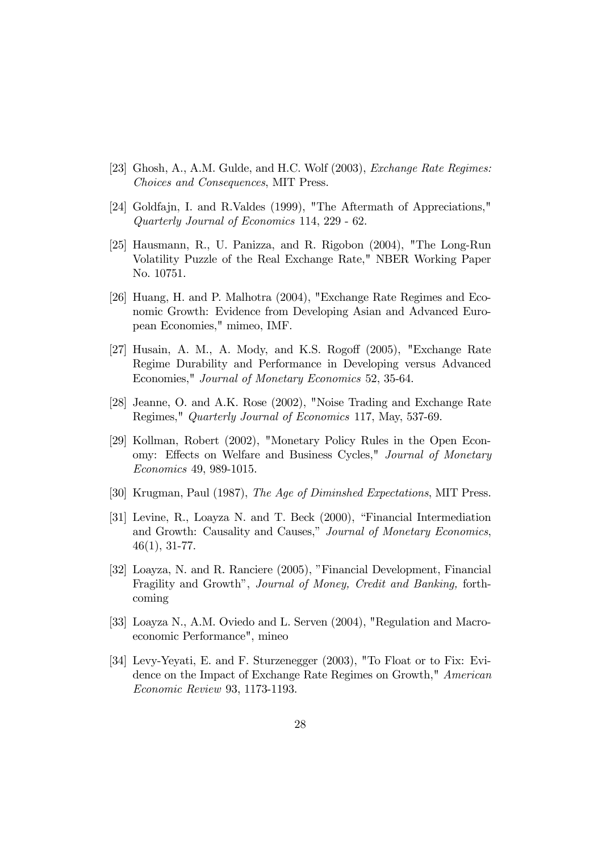- [23] Ghosh, A., A.M. Gulde, and H.C. Wolf (2003), *Exchange Rate Regimes:* Choices and Consequences, MIT Press.
- [24] Goldfajn, I. and R. Valdes (1999), "The Aftermath of Appreciations," Quarterly Journal of Economics 114, 229 - 62.
- [25] Hausmann, R., U. Panizza, and R. Rigobon (2004), "The Long-Run Volatility Puzzle of the Real Exchange Rate," NBER Working Paper No. 10751.
- [26] Huang, H. and P. Malhotra (2004), "Exchange Rate Regimes and Economic Growth: Evidence from Developing Asian and Advanced European Economies," mimeo, IMF.
- [27] Husain, A. M., A. Mody, and K.S. Rogoff  $(2005)$ , "Exchange Rate Regime Durability and Performance in Developing versus Advanced Economies," Journal of Monetary Economics 52, 35-64.
- [28] Jeanne, O. and A.K. Rose (2002), "Noise Trading and Exchange Rate Regimes," Quarterly Journal of Economics 117, May, 537-69.
- [29] Kollman, Robert (2002), "Monetary Policy Rules in the Open Economy: Effects on Welfare and Business Cycles," Journal of Monetary *Economics* 49, 989-1015.
- [30] Krugman, Paul (1987), The Age of Diminshed Expectations, MIT Press.
- [31] Levine, R., Loayza N. and T. Beck (2000), "Financial Intermediation and Growth: Causality and Causes," Journal of Monetary Economics,  $46(1), 31-77.$
- [32] Loayza, N. and R. Ranciere (2005), "Financial Development, Financial Fragility and Growth", Journal of Money, Credit and Banking, forthcoming
- [33] Loayza N., A.M. Oviedo and L. Serven (2004), "Regulation and Macroeconomic Performance", mineo
- [34] Levy-Yeyati, E. and F. Sturzenegger (2003), "To Float or to Fix: Evidence on the Impact of Exchange Rate Regimes on Growth," American Economic Review 93, 1173-1193.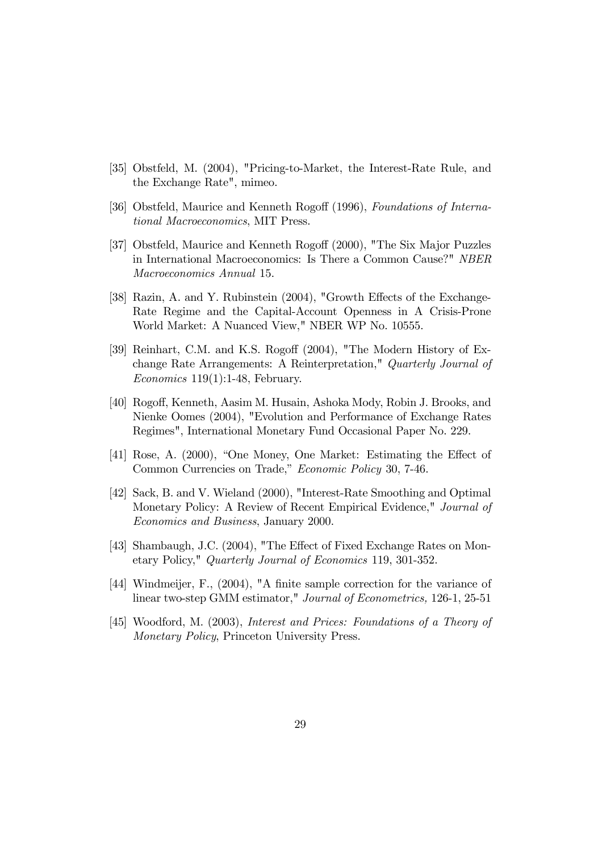- [35] Obstfeld, M. (2004), "Pricing-to-Market, the Interest-Rate Rule, and the Exchange Rate", mimeo.
- [36] Obstfeld, Maurice and Kenneth Rogoff (1996), Foundations of International Macroeconomics, MIT Press.
- [37] Obstfeld, Maurice and Kenneth Rogoff (2000), "The Six Major Puzzles in International Macroeconomics: Is There a Common Cause?" NBER Macroeconomics Annual 15.
- [38] Razin, A. and Y. Rubinstein (2004), "Growth Effects of the Exchange-Rate Regime and the Capital-Account Openness in A Crisis-Prone World Market: A Nuanced View," NBER WP No. 10555.
- [39] Reinhart, C.M. and K.S. Rogoff (2004), "The Modern History of Exchange Rate Arrangements: A Reinterpretation," Quarterly Journal of Economics  $119(1)$ :1-48, February.
- [40] Rogoff, Kenneth, Aasim M. Husain, Ashoka Mody, Robin J. Brooks, and Nienke Oomes (2004), "Evolution and Performance of Exchange Rates Regimes", International Monetary Fund Occasional Paper No. 229.
- [41] Rose, A. (2000), "One Money, One Market: Estimating the Effect of Common Currencies on Trade," *Economic Policy* 30, 7-46.
- [42] Sack, B. and V. Wieland (2000), "Interest-Rate Smoothing and Optimal Monetary Policy: A Review of Recent Empirical Evidence," Journal of *Economics and Business*, January 2000.
- [43] Shambaugh, J.C. (2004), "The Effect of Fixed Exchange Rates on Monetary Policy," Quarterly Journal of Economics 119, 301-352.
- [44] Windmeijer, F., (2004), "A finite sample correction for the variance of linear two-step GMM estimator," Journal of Econometrics, 126-1, 25-51
- [45] Woodford, M. (2003), Interest and Prices: Foundations of a Theory of Monetary Policy, Princeton University Press.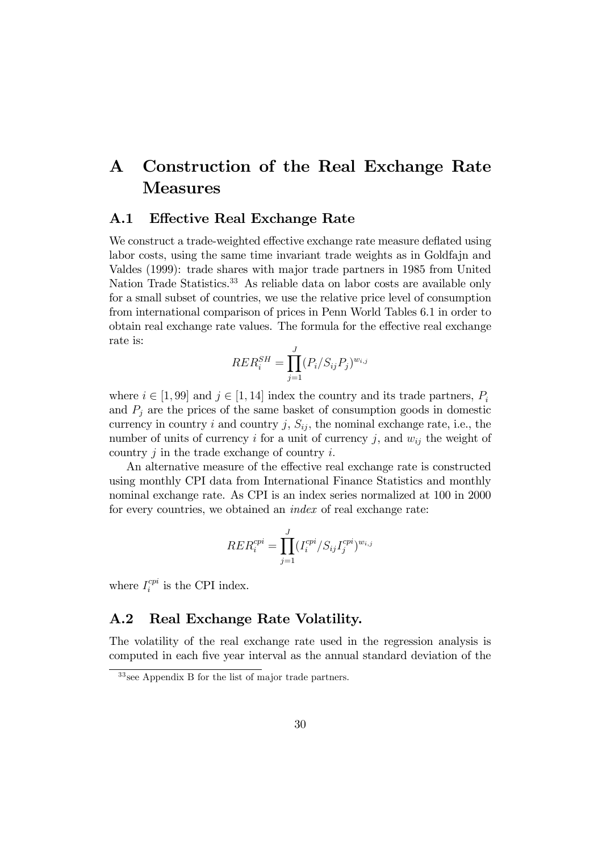### Construction of the Real Exchange Rate  $\mathbf{A}$ **Measures**

#### **Effective Real Exchange Rate**  $\mathbf{A.1}$

We construct a trade-weighted effective exchange rate measure deflated using labor costs, using the same time invariant trade weights as in Goldfajn and Valdes (1999): trade shares with major trade partners in 1985 from United Nation Trade Statistics.<sup>33</sup> As reliable data on labor costs are available only for a small subset of countries, we use the relative price level of consumption from international comparison of prices in Penn World Tables 6.1 in order to obtain real exchange rate values. The formula for the effective real exchange rate is:

$$
RER_i^{SH} = \prod_{j=1}^J (P_i/S_{ij}P_j)^{w_{i,j}}
$$

where  $i \in [1, 99]$  and  $j \in [1, 14]$  index the country and its trade partners,  $P_i$ and  $P_i$  are the prices of the same basket of consumption goods in domestic currency in country i and country j,  $S_{ij}$ , the nominal exchange rate, i.e., the number of units of currency i for a unit of currency j, and  $w_{ij}$  the weight of country  $j$  in the trade exchange of country  $i$ .

An alternative measure of the effective real exchange rate is constructed using monthly CPI data from International Finance Statistics and monthly nominal exchange rate. As CPI is an index series normalized at 100 in 2000 for every countries, we obtained an *index* of real exchange rate:

$$
RER_i^{cpi} = \prod_{j=1}^J (I_i^{cpi}/S_{ij}I_j^{cpi})^{w_{i,j}}
$$

where  $I_i^{cpi}$  is the CPI index.

#### $A.2$ Real Exchange Rate Volatility.

The volatility of the real exchange rate used in the regression analysis is computed in each five year interval as the annual standard deviation of the

 $33$  see Appendix B for the list of major trade partners.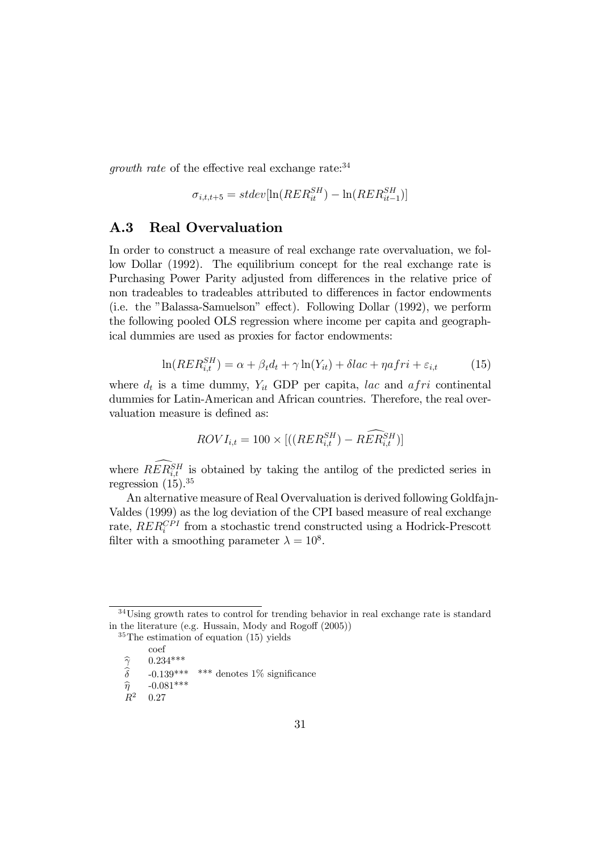*growth rate* of the effective real exchange rate:  $34$ 

$$
\sigma_{i,t,t+5} = stdev[\ln(REF_{it}^{SH}) - \ln(REF_{it-1}^{SH})]
$$

#### $A.3$ **Real Overvaluation**

In order to construct a measure of real exchange rate overvaluation, we follow Dollar (1992). The equilibrium concept for the real exchange rate is Purchasing Power Parity adjusted from differences in the relative price of non tradeables to tradeables attributed to differences in factor endowments (i.e. the "Balassa-Samuelson" effect). Following Dollar (1992), we perform the following pooled OLS regression where income per capita and geographical dummies are used as proxies for factor endowments:

$$
\ln(RER_{i,t}^{SH}) = \alpha + \beta_t d_t + \gamma \ln(Y_{it}) + \delta lac + \eta afri + \varepsilon_{i,t} \tag{15}
$$

where  $d_t$  is a time dummy,  $Y_{it}$  GDP per capita, lac and afri continental dummies for Latin-American and African countries. Therefore, the real overvaluation measure is defined as:

$$
ROVI_{i,t} = 100 \times \left[ \left( \left( RER_{i,t}^{SH} \right) - RER_{i,t}^{SH} \right) \right]
$$

where  $R\widehat{ER}_{i,t}^{SH}$  is obtained by taking the antilog of the predicted series in regression  $(15).^{35}$ 

An alternative measure of Real Overvaluation is derived following Goldfajn-Valdes (1999) as the log deviation of the CPI based measure of real exchange rate,  $RER_i^{CPI}$  from a stochastic trend constructed using a Hodrick-Prescott filter with a smoothing parameter  $\lambda = 10^8$ .

 $34$ Using growth rates to control for trending behavior in real exchange rate is standard in the literature (e.g. Hussain, Mody and Rogoff (2005))

 $35$ The estimation of equation (15) yields

coef

 $0.234***$ 

 $\widehat{\widetilde{\delta}}$  $-0.139***$  \*\*\* denotes  $1\%$  significance

 $\widehat{\eta}$  $-0.081***$ 

 $R^2$  $0.27$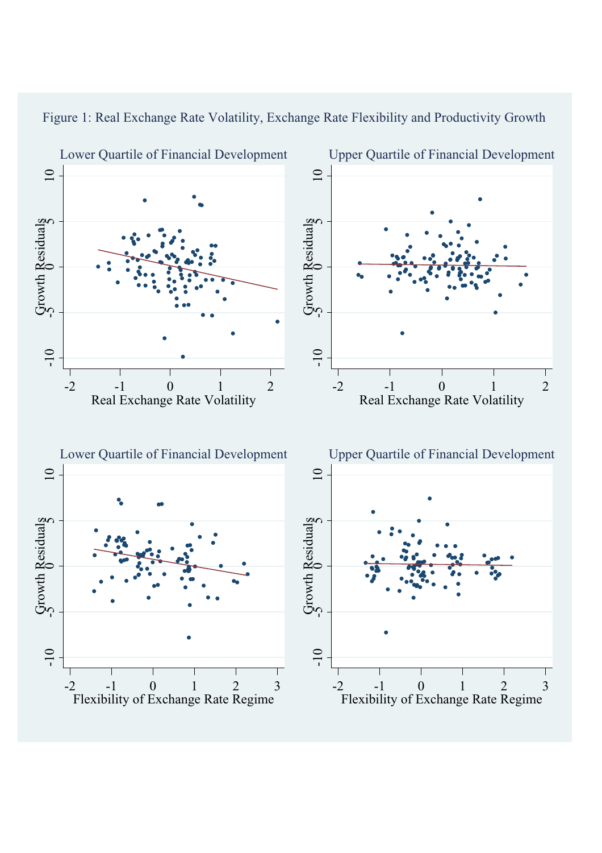

# Figure 1: Real Exchange Rate Volatility, Exchange Rate Flexibility and Productivity Growth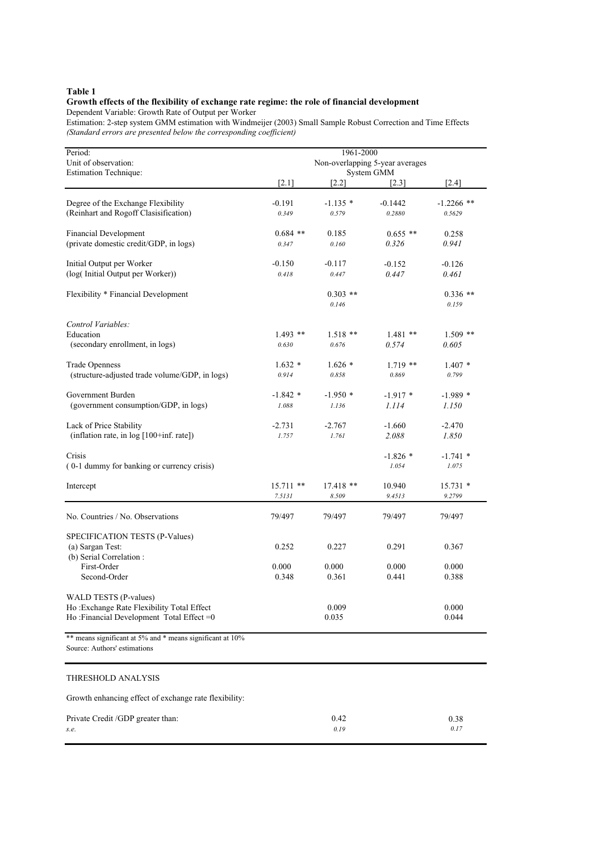### **Growth effects of the flexibility of exchange rate regime: the role of financial development**

Dependent Variable: Growth Rate of Output per Worker

Estimation: 2-step system GMM estimation with Windmeijer (2003) Small Sample Robust Correction and Time Effects *(Standard errors are presented below the corresponding coefficient)*

| Period:                                                   | 1961-2000                                     |             |            |              |  |  |  |
|-----------------------------------------------------------|-----------------------------------------------|-------------|------------|--------------|--|--|--|
| Unit of observation:                                      | Non-overlapping 5-year averages<br>System GMM |             |            |              |  |  |  |
| <b>Estimation Technique:</b>                              | [2.1]                                         | $[2.2]$     | [2.3]      | [2.4]        |  |  |  |
| Degree of the Exchange Flexibility                        | $-0.191$                                      | $-1.135*$   | $-0.1442$  | $-1.2266$ ** |  |  |  |
| (Reinhart and Rogoff Clasisification)                     | 0.349                                         | 0.579       | 0.2880     | 0.5629       |  |  |  |
| <b>Financial Development</b>                              | $0.684$ **                                    | 0.185       | $0.655$ ** | 0.258        |  |  |  |
| (private domestic credit/GDP, in logs)                    | 0.347                                         | 0.160       | 0.326      | 0.941        |  |  |  |
| Initial Output per Worker                                 | $-0.150$                                      | $-0.117$    | $-0.152$   | $-0.126$     |  |  |  |
| (log(Initial Output per Worker))                          | 0.418                                         | 0.447       | 0.447      | 0.461        |  |  |  |
| Flexibility * Financial Development                       |                                               | $0.303$ **  |            | $0.336$ **   |  |  |  |
|                                                           |                                               | 0.146       |            | 0.159        |  |  |  |
| Control Variables:                                        |                                               |             |            |              |  |  |  |
| Education                                                 | $1.493$ **                                    | $1.518**$   | $1.481**$  | $1.509$ **   |  |  |  |
| (secondary enrollment, in logs)                           | 0.630                                         | 0.676       | 0.574      | 0.605        |  |  |  |
| <b>Trade Openness</b>                                     | $1.632*$                                      | $1.626*$    | $1.719$ ** | $1.407*$     |  |  |  |
| (structure-adjusted trade volume/GDP, in logs)            | 0.914                                         | 0.858       | 0.869      | 0.799        |  |  |  |
| Government Burden                                         | $-1.842*$                                     | $-1.950*$   | $-1.917*$  | $-1.989*$    |  |  |  |
| (government consumption/GDP, in logs)                     | 1.088                                         | 1.136       | 1.114      | 1.150        |  |  |  |
| Lack of Price Stability                                   | $-2.731$                                      | $-2.767$    | $-1.660$   | $-2.470$     |  |  |  |
| (inflation rate, in log [100+inf. rate])                  | 1.757                                         | 1.761       | 2.088      | 1.850        |  |  |  |
| Crisis                                                    |                                               |             | $-1.826*$  | $-1.741$ *   |  |  |  |
| (0-1 dummy for banking or currency crisis)                |                                               |             | 1.054      | 1.075        |  |  |  |
| Intercept                                                 | $15.711$ **                                   | $17.418$ ** | 10.940     | $15.731*$    |  |  |  |
|                                                           | 7.5131                                        | 8.509       | 9.4513     | 9.2799       |  |  |  |
| No. Countries / No. Observations                          | 79/497                                        | 79/497      | 79/497     | 79/497       |  |  |  |
| SPECIFICATION TESTS (P-Values)                            |                                               |             |            |              |  |  |  |
| (a) Sargan Test:                                          | 0.252                                         | 0.227       | 0.291      | 0.367        |  |  |  |
| (b) Serial Correlation:                                   |                                               |             |            |              |  |  |  |
| First-Order                                               | 0.000                                         | 0.000       | 0.000      | 0.000        |  |  |  |
| Second-Order                                              | 0.348                                         | 0.361       | 0.441      | 0.388        |  |  |  |
| <b>WALD TESTS (P-values)</b>                              |                                               |             |            |              |  |  |  |
| Ho : Exchange Rate Flexibility Total Effect               |                                               | 0.009       |            | 0.000        |  |  |  |
| Ho: Financial Development Total Effect =0                 |                                               | 0.035       |            | 0.044        |  |  |  |
| ** means significant at 5% and * means significant at 10% |                                               |             |            |              |  |  |  |

Source: Authors' estimations

### THRESHOLD ANALYSIS

Growth enhancing effect of exchange rate flexibility:

| Private Credit /GDP greater than: | 0.42 | 0.38 |
|-----------------------------------|------|------|
| S.e.                              | 0.19 | 0.17 |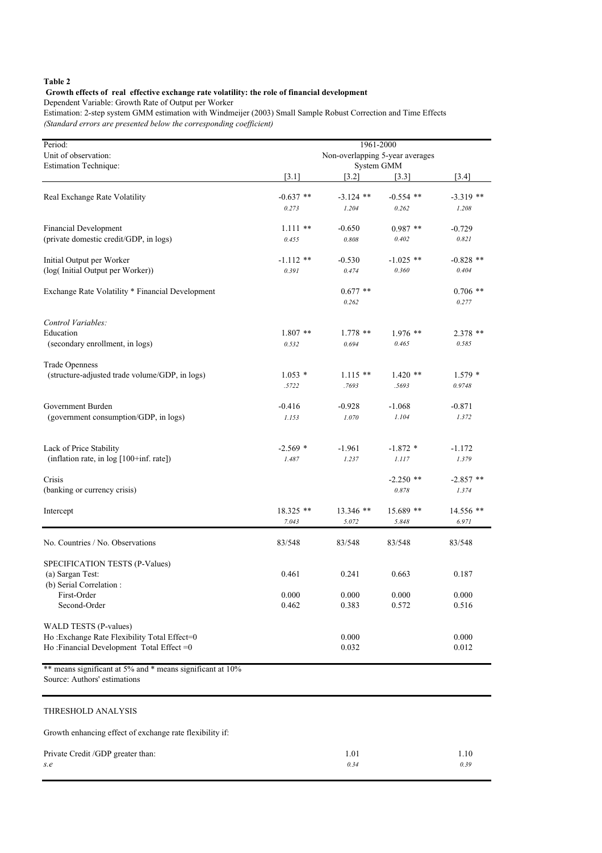### **Growth effects of real effective exchange rate volatility: the role of financial development**

Dependent Variable: Growth Rate of Output per Worker

Estimation: 2-step system GMM estimation with Windmeijer (2003) Small Sample Robust Correction and Time Effects *(Standard errors are presented below the corresponding coefficient)*

| Period:                                                   | 1961-2000                       |             |             |             |  |  |  |
|-----------------------------------------------------------|---------------------------------|-------------|-------------|-------------|--|--|--|
| Unit of observation:                                      | Non-overlapping 5-year averages |             |             |             |  |  |  |
| <b>Estimation Technique:</b>                              |                                 |             | System GMM  |             |  |  |  |
|                                                           | [3.1]                           | [3.2]       | [3.3]       | [3.4]       |  |  |  |
| Real Exchange Rate Volatility                             | $-0.637$ **                     | $-3.124$ ** | $-0.554$ ** | $-3.319$ ** |  |  |  |
|                                                           | 0.273                           | 1.204       | 0.262       | 1.208       |  |  |  |
|                                                           |                                 |             |             |             |  |  |  |
| Financial Development                                     | $1.111**$                       | $-0.650$    | $0.987**$   | $-0.729$    |  |  |  |
| (private domestic credit/GDP, in logs)                    | 0.455                           | 0.808       | 0.402       | 0.821       |  |  |  |
| Initial Output per Worker                                 | $-1.112$ **                     | $-0.530$    | $-1.025$ ** | $-0.828$ ** |  |  |  |
| (log(Initial Output per Worker))                          | 0.391                           | 0.474       | 0.360       | 0.404       |  |  |  |
|                                                           |                                 |             |             |             |  |  |  |
| Exchange Rate Volatility * Financial Development          |                                 | $0.677$ **  |             | $0.706$ **  |  |  |  |
|                                                           |                                 | 0.262       |             | 0.277       |  |  |  |
| Control Variables:                                        |                                 |             |             |             |  |  |  |
| Education                                                 | $1.807$ **                      | $1.778$ **  | $1.976$ **  | $2.378$ **  |  |  |  |
| (secondary enrollment, in logs)                           | 0.532                           | 0.694       | 0.465       | 0.585       |  |  |  |
|                                                           |                                 |             |             |             |  |  |  |
| <b>Trade Openness</b>                                     |                                 |             |             |             |  |  |  |
| (structure-adjusted trade volume/GDP, in logs)            | $1.053*$                        | $1.115**$   | $1.420$ **  | $1.579*$    |  |  |  |
|                                                           | .5722                           | .7693       | .5693       | 0.9748      |  |  |  |
| Government Burden                                         | $-0.416$                        | -0.928      | $-1.068$    | $-0.871$    |  |  |  |
| (government consumption/GDP, in logs)                     | 1.153                           | 1.070       | 1.104       | 1.372       |  |  |  |
|                                                           |                                 |             |             |             |  |  |  |
| Lack of Price Stability                                   | $-2.569$ *                      | $-1.961$    | $-1.872*$   | $-1.172$    |  |  |  |
| (inflation rate, in $log[100+inf. rate]$ )                | 1.487                           | 1.237       | 1.117       | 1.379       |  |  |  |
|                                                           |                                 |             |             |             |  |  |  |
| Crisis                                                    |                                 |             | $-2.250$ ** | $-2.857$ ** |  |  |  |
| (banking or currency crisis)                              |                                 |             | 0.878       | 1.374       |  |  |  |
| Intercept                                                 | 18.325 **                       | $13.346$ ** | 15.689 **   | 14.556 **   |  |  |  |
|                                                           | 7.043                           | 5.072       | 5.848       | 6.971       |  |  |  |
|                                                           |                                 |             |             |             |  |  |  |
| No. Countries / No. Observations                          | 83/548                          | 83/548      | 83/548      | 83/548      |  |  |  |
| SPECIFICATION TESTS (P-Values)                            |                                 |             |             |             |  |  |  |
| (a) Sargan Test:                                          | 0.461                           | 0.241       | 0.663       | 0.187       |  |  |  |
| (b) Serial Correlation :                                  |                                 |             |             |             |  |  |  |
| First-Order                                               | 0.000                           | 0.000       | 0.000       | 0.000       |  |  |  |
| Second-Order                                              | 0.462                           | 0.383       | 0.572       | 0.516       |  |  |  |
|                                                           |                                 |             |             |             |  |  |  |
| WALD TESTS (P-values)                                     |                                 |             |             |             |  |  |  |
| Ho: Exchange Rate Flexibility Total Effect=0              |                                 | 0.000       |             | 0.000       |  |  |  |
| Ho: Financial Development Total Effect = $0$              |                                 | 0.032       |             | 0.012       |  |  |  |
| ** means significant at 5% and * means significant at 10% |                                 |             |             |             |  |  |  |

Source: Authors' estimations

#### THRESHOLD ANALYSIS

Growth enhancing effect of exchange rate flexibility if:

| Private Credit /GDP greater than: | 1.01 | 1.10 |
|-----------------------------------|------|------|
| s.e                               | 0.34 | 0.39 |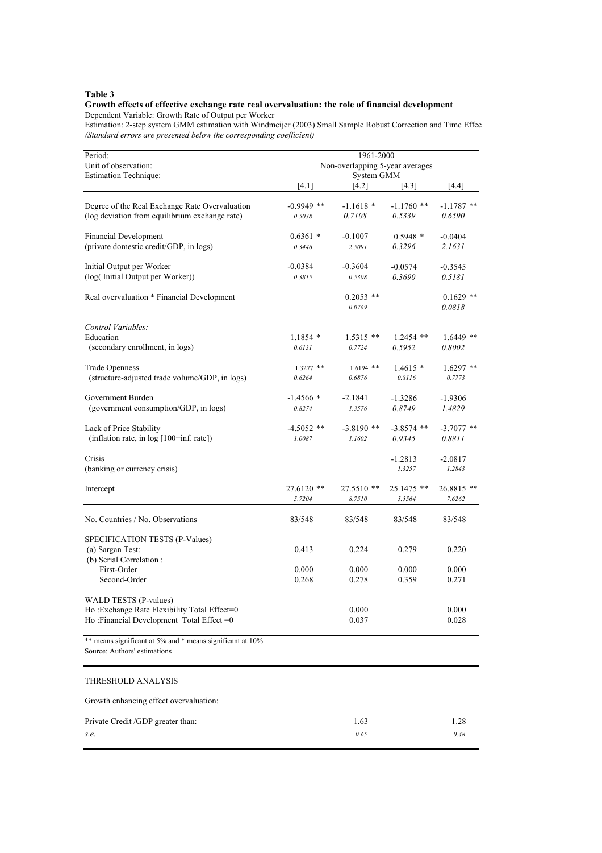#### **Growth effects of effective exchange rate real overvaluation: the role of financial development** Dependent Variable: Growth Rate of Output per Worker

Estimation: 2-step system GMM estimation with Windmeijer (2003) Small Sample Robust Correction and Time Effec *(Standard errors are presented below the corresponding coefficient)*

| Period:<br>Unit of observation:<br><b>Estimation Technique:</b>                                                                    | 1961-2000<br>Non-overlapping 5-year averages<br>System GMM |                         |                        |                         |  |
|------------------------------------------------------------------------------------------------------------------------------------|------------------------------------------------------------|-------------------------|------------------------|-------------------------|--|
|                                                                                                                                    | $[4.1]$                                                    | $[4.2]$                 | [4.3]                  | $[4.4]$                 |  |
| Degree of the Real Exchange Rate Overvaluation<br>(log deviation from equilibrium exchange rate)                                   | $-0.9949$ **<br>0.5038                                     | $-1.1618*$<br>0.7108    | $-1.1760$ **<br>0.5339 | $-1.1787$ **<br>0.6590  |  |
| <b>Financial Development</b><br>(private domestic credit/GDP, in logs)                                                             | $0.6361*$<br>0.3446                                        | $-0.1007$<br>2.5091     | $0.5948*$<br>0.3296    | $-0.0404$<br>2.1631     |  |
| Initial Output per Worker<br>(log(Initial Output per Worker))                                                                      | $-0.0384$<br>0.3815                                        | $-0.3604$<br>0.5308     | $-0.0574$<br>0.3690    | $-0.3545$<br>0.5181     |  |
| Real overvaluation * Financial Development                                                                                         |                                                            | $0.2053$ **<br>0.0769   |                        | $0.1629$ **<br>0.0818   |  |
| Control Variables:<br>Education<br>(secondary enrollment, in logs)                                                                 | $1.1854*$<br>0.6131                                        | $1.5315**$<br>0.7724    | $1.2454$ **<br>0.5952  | $1.6449$ **<br>0.8002   |  |
| <b>Trade Openness</b><br>(structure-adjusted trade volume/GDP, in logs)                                                            | $1.3277$ **<br>0.6264                                      | $1.6194$ **<br>0.6876   | $1.4615*$<br>0.8116    | $1.6297$ **<br>0.7773   |  |
| Government Burden<br>(government consumption/GDP, in logs)                                                                         | $-1.4566*$<br>0.8274                                       | $-2.1841$<br>1.3576     | $-1.3286$<br>0.8749    | $-1.9306$<br>1.4829     |  |
| Lack of Price Stability<br>(inflation rate, in log [100+inf. rate])                                                                | $-4.5052$ **<br>1.0087                                     | $-3.8190**$<br>1.1602   | $-3.8574$ **<br>0.9345 | $-3.7077$ **<br>0.8811  |  |
| Crisis<br>(banking or currency crisis)                                                                                             |                                                            |                         | $-1.2813$<br>1.3257    | $-2.0817$<br>1.2843     |  |
| Intercept                                                                                                                          | $27.6120$ **<br>5.7204                                     | 27.5510 **<br>8.7510    | 25.1475 **<br>5.5564   | $26.8815$ **<br>7.6262  |  |
| No. Countries / No. Observations                                                                                                   | 83/548                                                     | 83/548                  | 83/548                 | 83/548                  |  |
| SPECIFICATION TESTS (P-Values)<br>(a) Sargan Test:<br>(b) Serial Correlation:<br>First-Order                                       | 0.413<br>0.000                                             | 0.224<br>0.000          | 0.279<br>0.000         | 0.220<br>0.000          |  |
| Second-Order<br>WALD TESTS (P-values)<br>Ho: Exchange Rate Flexibility Total Effect=0<br>Ho: Financial Development Total Effect =0 | 0.268                                                      | 0.278<br>0.000<br>0.037 | 0.359                  | 0.271<br>0.000<br>0.028 |  |
| ** means significant at 5% and * means significant at 10%<br>Source: Authors' estimations                                          |                                                            |                         |                        |                         |  |
| THRESHOLD ANALYSIS                                                                                                                 |                                                            |                         |                        |                         |  |
| Growth enhancing effect overvaluation:                                                                                             |                                                            |                         |                        |                         |  |
| Private Credit /GDP greater than:                                                                                                  |                                                            | 1.63                    |                        | 1.28                    |  |

*s.e. 0.65 0.48*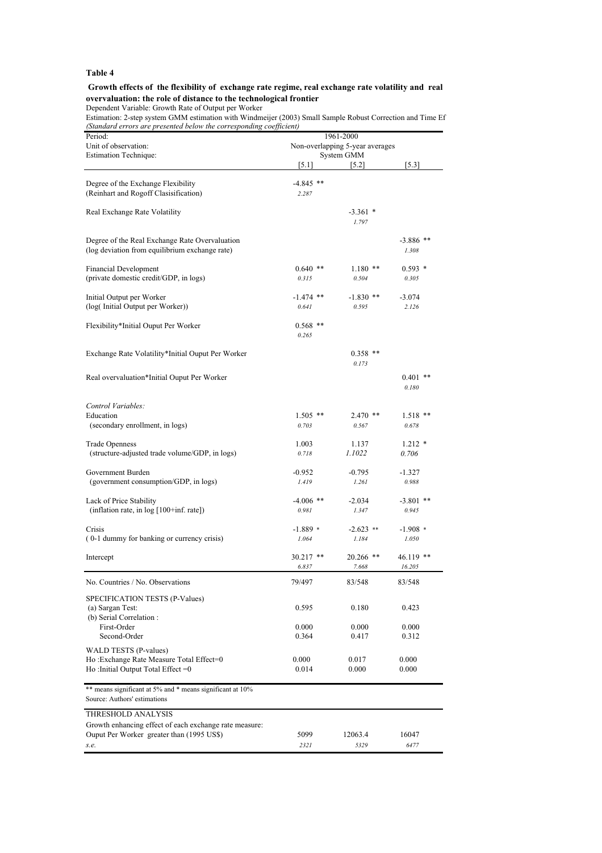#### **Growth effects of the flexibility of exchange rate regime, real exchange rate volatility and real overvaluation: the role of distance to the technological frontier**

Dependent Variable: Growth Rate of Output per Worker

Estimation: 2-step system GMM estimation with Windmeijer (2003) Small Sample Robust Correction and Time Ef *(Standard errors are presented below the corresponding coefficient)*

| Period:                                                   | 1961-2000                       |             |                |  |  |
|-----------------------------------------------------------|---------------------------------|-------------|----------------|--|--|
| Unit of observation:                                      | Non-overlapping 5-year averages |             |                |  |  |
| Estimation Technique:                                     |                                 | System GMM  |                |  |  |
|                                                           | [5.1]                           | [5.2]       | [5.3]          |  |  |
|                                                           |                                 |             |                |  |  |
| Degree of the Exchange Flexibility                        | $-4.845$ **                     |             |                |  |  |
| (Reinhart and Rogoff Clasisification)                     | 2.287                           |             |                |  |  |
|                                                           |                                 |             |                |  |  |
| Real Exchange Rate Volatility                             |                                 | $-3.361$ *  |                |  |  |
|                                                           |                                 | 1.797       |                |  |  |
| Degree of the Real Exchange Rate Overvaluation            |                                 |             | $-3.886$ **    |  |  |
| (log deviation from equilibrium exchange rate)            |                                 |             | 1.308          |  |  |
|                                                           |                                 |             |                |  |  |
| <b>Financial Development</b>                              | $0.640$ **                      | $1.180**$   | $0.593*$       |  |  |
| (private domestic credit/GDP, in logs)                    | 0.315                           | 0.504       | 0.305          |  |  |
|                                                           |                                 |             |                |  |  |
| Initial Output per Worker                                 | $-1.474$ **                     | $-1.830$ ** | $-3.074$       |  |  |
| (log(Initial Output per Worker))                          | 0.641                           | 0.595       | 2.126          |  |  |
|                                                           |                                 |             |                |  |  |
| Flexibility*Initial Ouput Per Worker                      | $0.568$ **                      |             |                |  |  |
|                                                           | 0.265                           |             |                |  |  |
|                                                           |                                 |             |                |  |  |
| Exchange Rate Volatility*Initial Ouput Per Worker         |                                 | $0.358$ **  |                |  |  |
|                                                           |                                 | 0.173       |                |  |  |
| Real overvaluation*Initial Ouput Per Worker               |                                 |             | $* *$<br>0.401 |  |  |
|                                                           |                                 |             | 0.180          |  |  |
|                                                           |                                 |             |                |  |  |
| Control Variables:                                        |                                 |             |                |  |  |
| Education                                                 | $1.505$ **                      | $2.470$ **  | $1.518$ **     |  |  |
| (secondary enrollment, in logs)                           | 0.703                           | 0.567       | 0.678          |  |  |
|                                                           |                                 |             |                |  |  |
| <b>Trade Openness</b>                                     | 1.003                           | 1.137       | $1.212*$       |  |  |
| (structure-adjusted trade volume/GDP, in logs)            | 0.718                           | 1.1022      | 0.706          |  |  |
| Government Burden                                         | $-0.952$                        | $-0.795$    | $-1.327$       |  |  |
| (government consumption/GDP, in logs)                     | 1.419                           | 1.261       | 0.988          |  |  |
|                                                           |                                 |             |                |  |  |
| Lack of Price Stability                                   | $-4.006$ **                     | $-2.034$    | $-3.801$ **    |  |  |
| (inflation rate, in $log[100+inf. rate]$ )                | 0.981                           | 1.347       | 0.945          |  |  |
|                                                           |                                 |             |                |  |  |
| Crisis                                                    | $-1.889*$                       | $-2.623$ ** | $-1.908$ *     |  |  |
| (0-1 dummy for banking or currency crisis)                | 1.064                           | 1.184       | 1.050          |  |  |
|                                                           |                                 |             |                |  |  |
| Intercept                                                 | 30.217 **                       | $20.266$ ** | $46.119$ **    |  |  |
|                                                           | 6.837                           | 7.668       | 16.205         |  |  |
| No. Countries / No. Observations                          | 79/497                          | 83/548      | 83/548         |  |  |
|                                                           |                                 |             |                |  |  |
| SPECIFICATION TESTS (P-Values)                            |                                 |             |                |  |  |
| (a) Sargan Test:                                          | 0.595                           | 0.180       | 0.423          |  |  |
| (b) Serial Correlation:                                   |                                 |             |                |  |  |
| First-Order                                               | 0.000                           | 0.000       | 0.000          |  |  |
| Second-Order                                              | 0.364                           | 0.417       | 0.312          |  |  |
| WALD TESTS (P-values)                                     |                                 |             |                |  |  |
| Ho: Exchange Rate Measure Total Effect=0                  | 0.000                           | 0.017       | 0.000          |  |  |
| Ho:Initial Output Total Effect =0                         | 0.014                           | 0.000       | 0.000          |  |  |
|                                                           |                                 |             |                |  |  |
| ** means significant at 5% and * means significant at 10% |                                 |             |                |  |  |
| Source: Authors' estimations                              |                                 |             |                |  |  |
| THRESHOLD ANALYSIS                                        |                                 |             |                |  |  |
| Growth enhancing effect of each exchange rate measure:    |                                 |             |                |  |  |
| Ouput Per Worker greater than (1995 US\$)                 | 5099                            | 12063.4     | 16047          |  |  |
| s.e.                                                      | 2321                            | 5329        | 6477           |  |  |
|                                                           |                                 |             |                |  |  |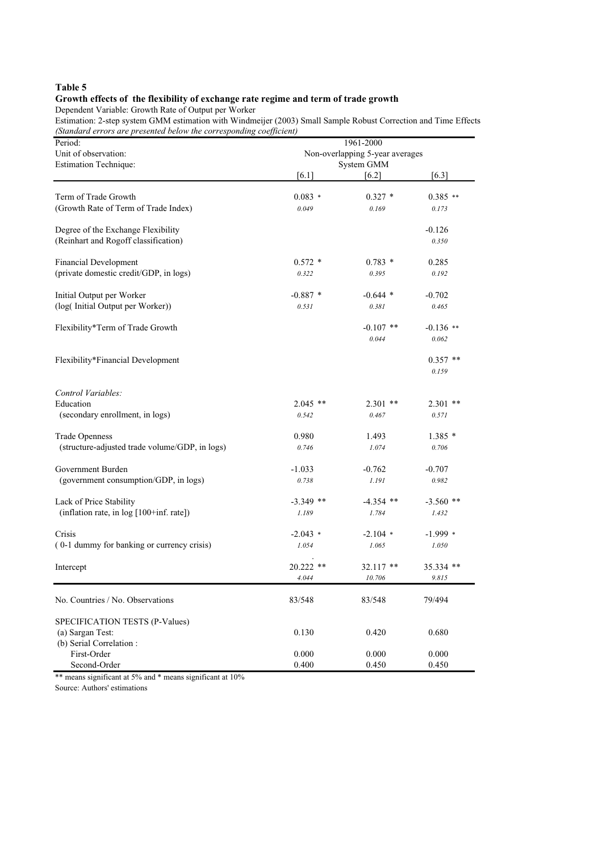### **Growth effects of the flexibility of exchange rate regime and term of trade growth**

Dependent Variable: Growth Rate of Output per Worker

Estimation: 2-step system GMM estimation with Windmeijer (2003) Small Sample Robust Correction and Time Effects *(Standard errors are presented below the corresponding coefficient)*

| Unit of observation:<br>Non-overlapping 5-year averages<br>System GMM<br><b>Estimation Technique:</b><br>$[6.3]$<br>[6.1]<br>[6.2]<br>Term of Trade Growth<br>$0.083*$<br>$0.327*$<br>$0.385**$<br>(Growth Rate of Term of Trade Index)<br>0.049<br>0.169<br>0.173<br>Degree of the Exchange Flexibility<br>$-0.126$<br>(Reinhart and Rogoff classification)<br>0.350<br>$0.783*$<br><b>Financial Development</b><br>$0.572*$<br>0.285<br>(private domestic credit/GDP, in logs)<br>0.395<br>0.192<br>0.322 |  |
|-------------------------------------------------------------------------------------------------------------------------------------------------------------------------------------------------------------------------------------------------------------------------------------------------------------------------------------------------------------------------------------------------------------------------------------------------------------------------------------------------------------|--|
|                                                                                                                                                                                                                                                                                                                                                                                                                                                                                                             |  |
|                                                                                                                                                                                                                                                                                                                                                                                                                                                                                                             |  |
|                                                                                                                                                                                                                                                                                                                                                                                                                                                                                                             |  |
|                                                                                                                                                                                                                                                                                                                                                                                                                                                                                                             |  |
|                                                                                                                                                                                                                                                                                                                                                                                                                                                                                                             |  |
|                                                                                                                                                                                                                                                                                                                                                                                                                                                                                                             |  |
|                                                                                                                                                                                                                                                                                                                                                                                                                                                                                                             |  |
|                                                                                                                                                                                                                                                                                                                                                                                                                                                                                                             |  |
|                                                                                                                                                                                                                                                                                                                                                                                                                                                                                                             |  |
| Initial Output per Worker<br>$-0.887*$<br>$-0.644$ *<br>$-0.702$                                                                                                                                                                                                                                                                                                                                                                                                                                            |  |
| (log(Initial Output per Worker))<br>0.531<br>0.381<br>0.465                                                                                                                                                                                                                                                                                                                                                                                                                                                 |  |
| Flexibility*Term of Trade Growth<br>$-0.107$ **<br>$-0.136$ **                                                                                                                                                                                                                                                                                                                                                                                                                                              |  |
| 0.044<br>0.062                                                                                                                                                                                                                                                                                                                                                                                                                                                                                              |  |
| Flexibility*Financial Development<br>$0.357$ **                                                                                                                                                                                                                                                                                                                                                                                                                                                             |  |
| 0.159                                                                                                                                                                                                                                                                                                                                                                                                                                                                                                       |  |
| Control Variables:                                                                                                                                                                                                                                                                                                                                                                                                                                                                                          |  |
| Education<br>$2.045$ **<br>$2.301$ **<br>$2.301$ **                                                                                                                                                                                                                                                                                                                                                                                                                                                         |  |
| (secondary enrollment, in logs)<br>0.542<br>0.467<br>0.571                                                                                                                                                                                                                                                                                                                                                                                                                                                  |  |
| <b>Trade Openness</b><br>0.980<br>1.493<br>$1.385*$                                                                                                                                                                                                                                                                                                                                                                                                                                                         |  |
| (structure-adjusted trade volume/GDP, in logs)<br>0.746<br>0.706<br>1.074                                                                                                                                                                                                                                                                                                                                                                                                                                   |  |
| Government Burden<br>$-1.033$<br>$-0.762$<br>$-0.707$                                                                                                                                                                                                                                                                                                                                                                                                                                                       |  |
| (government consumption/GDP, in logs)<br>0.738<br>1.191<br>0.982                                                                                                                                                                                                                                                                                                                                                                                                                                            |  |
| Lack of Price Stability<br>$-3.349$ **<br>$-4.354$ **<br>$-3.560$ **                                                                                                                                                                                                                                                                                                                                                                                                                                        |  |
| (inflation rate, in log [100+inf. rate])<br>1.189<br>1.784<br>1.432                                                                                                                                                                                                                                                                                                                                                                                                                                         |  |
| Crisis<br>$-2.043$ *<br>$-2.104$ *<br>$-1.999*$                                                                                                                                                                                                                                                                                                                                                                                                                                                             |  |
| (0-1 dummy for banking or currency crisis)<br>1.054<br>1.065<br>1.050                                                                                                                                                                                                                                                                                                                                                                                                                                       |  |
| $20.222$ **<br>$32.117$ **<br>35.334 **<br>Intercept                                                                                                                                                                                                                                                                                                                                                                                                                                                        |  |
| 4.044<br>10.706<br>9.815                                                                                                                                                                                                                                                                                                                                                                                                                                                                                    |  |
| No. Countries / No. Observations<br>83/548<br>83/548<br>79/494                                                                                                                                                                                                                                                                                                                                                                                                                                              |  |
| SPECIFICATION TESTS (P-Values)                                                                                                                                                                                                                                                                                                                                                                                                                                                                              |  |
| 0.130<br>(a) Sargan Test:<br>0.420<br>0.680                                                                                                                                                                                                                                                                                                                                                                                                                                                                 |  |
| (b) Serial Correlation:                                                                                                                                                                                                                                                                                                                                                                                                                                                                                     |  |
| First-Order<br>0.000<br>0.000<br>0.000<br>Second-Order<br>0.400<br>0.450<br>0.450                                                                                                                                                                                                                                                                                                                                                                                                                           |  |

\*\* means significant at 5% and \* means significant at 10%

Source: Authors' estimations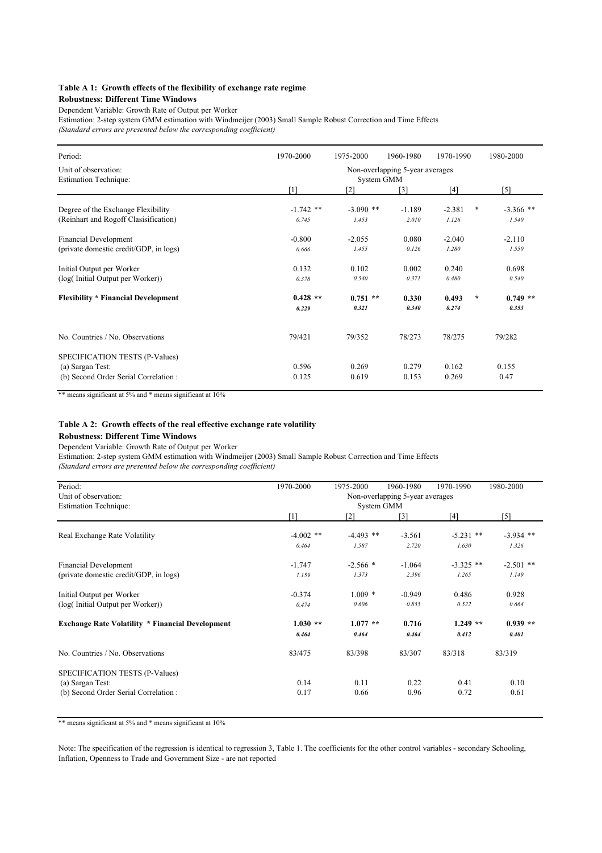#### **Table A 1: Growth effects of the flexibility of exchange rate regime**

#### **Robustness: Different Time Windows**

Dependent Variable: Growth Rate of Output per Worker

Estimation: 2-step system GMM estimation with Windmeijer (2003) Small Sample Robust Correction and Time Effects *(Standard errors are presented below the corresponding coefficient)*

| Period:                                                                                    | 1970-2000                                     | 1975-2000            | 1960-1980         | 1970-1990         | 1980-2000                     |
|--------------------------------------------------------------------------------------------|-----------------------------------------------|----------------------|-------------------|-------------------|-------------------------------|
| Unit of observation:<br><b>Estimation Technique:</b>                                       | Non-overlapping 5-year averages<br>System GMM |                      |                   |                   |                               |
|                                                                                            | [1]                                           | $\lceil 2 \rceil$    | [3]               | [4]               | [5]                           |
| Degree of the Exchange Flexibility<br>(Reinhart and Rogoff Clasisification)                | $-1.742$ **<br>0.745                          | $-3.090$ **<br>1.453 | $-1.189$<br>2.010 | $-2.381$<br>1.126 | *<br>$-3.366$ **<br>1.540     |
| <b>Financial Development</b><br>(private domestic credit/GDP, in logs)                     | $-0.800$<br>0.666                             | $-2.055$<br>1.455    | 0.080<br>0.126    | $-2.040$<br>1.280 | $-2.110$<br>1.550             |
| Initial Output per Worker<br>(log(Initial Output per Worker))                              | 0.132<br>0.378                                | 0.102<br>0.540       | 0.002<br>0.371    | 0.240<br>0.480    | 0.698<br>0.540                |
| <b>Flexibility * Financial Development</b>                                                 | $0.428**$<br>0.229                            | $0.751$ **<br>0.321  | 0.330<br>0.340    | 0.493<br>0.274    | $\star$<br>$0.749**$<br>0.353 |
| No. Countries / No. Observations                                                           | 79/421                                        | 79/352               | 78/273            | 78/275            | 79/282                        |
| SPECIFICATION TESTS (P-Values)<br>(a) Sargan Test:<br>(b) Second Order Serial Correlation: | 0.596<br>0.125                                | 0.269<br>0.619       | 0.279<br>0.153    | 0.162<br>0.269    | 0.155<br>0.47                 |

\*\* means significant at 5% and \* means significant at 10%

#### **Table A 2: Growth effects of the real effective exchange rate volatility**

#### **Robustness: Different Time Windows**

Dependent Variable: Growth Rate of Output per Worker

Estimation: 2-step system GMM estimation with Windmeijer (2003) Small Sample Robust Correction and Time Effects *(Standard errors are presented below the corresponding coefficient)*

| Period:                                                 | 1970-2000                       | 1975-2000         | 1960-1980 | 1970-1990   | 1980-2000   |  |
|---------------------------------------------------------|---------------------------------|-------------------|-----------|-------------|-------------|--|
| Unit of observation:                                    | Non-overlapping 5-year averages |                   |           |             |             |  |
| <b>Estimation Technique:</b>                            | System GMM                      |                   |           |             |             |  |
|                                                         | [1]                             | $\lceil 2 \rceil$ | [3]       | [4]         | [5]         |  |
| Real Exchange Rate Volatility                           | $-4.002$ **                     | $-4.493$ **       | $-3.561$  | $-5.231$ ** | $-3.934$ ** |  |
|                                                         | 0.464                           | 1.587             | 2.720     | 1.630       | 1.326       |  |
| <b>Financial Development</b>                            | $-1.747$                        | $-2.566*$         | $-1.064$  | $-3.325$ ** | $-2.501$ ** |  |
| (private domestic credit/GDP, in logs)                  | 1.159                           | 1.373             | 2.396     | 1.265       | 1.149       |  |
| Initial Output per Worker                               | $-0.374$                        | $1.009*$          | $-0.949$  | 0.486       | 0.928       |  |
| (log(Initial Output per Worker))                        | 0.474                           | 0.606             | 0.855     | 0.522       | 0.664       |  |
| <b>Exchange Rate Volatility * Financial Development</b> | $1.030**$                       | $1.077**$         | 0.716     | $1.249**$   | $0.939**$   |  |
|                                                         | 0.464                           | 0.464             | 0.464     | 0.412       | 0.401       |  |
| No. Countries / No. Observations                        | 83/475                          | 83/398            | 83/307    | 83/318      | 83/319      |  |
| SPECIFICATION TESTS (P-Values)                          |                                 |                   |           |             |             |  |
| (a) Sargan Test:                                        | 0.14                            | 0.11              | 0.22      | 0.41        | 0.10        |  |
| (b) Second Order Serial Correlation:                    | 0.17                            | 0.66              | 0.96      | 0.72        | 0.61        |  |

\*\* means significant at 5% and \* means significant at 10%

Note: The specification of the regression is identical to regression 3, Table 1. The coefficients for the other control variables - secondary Schooling, Inflation, Openness to Trade and Government Size - are not reported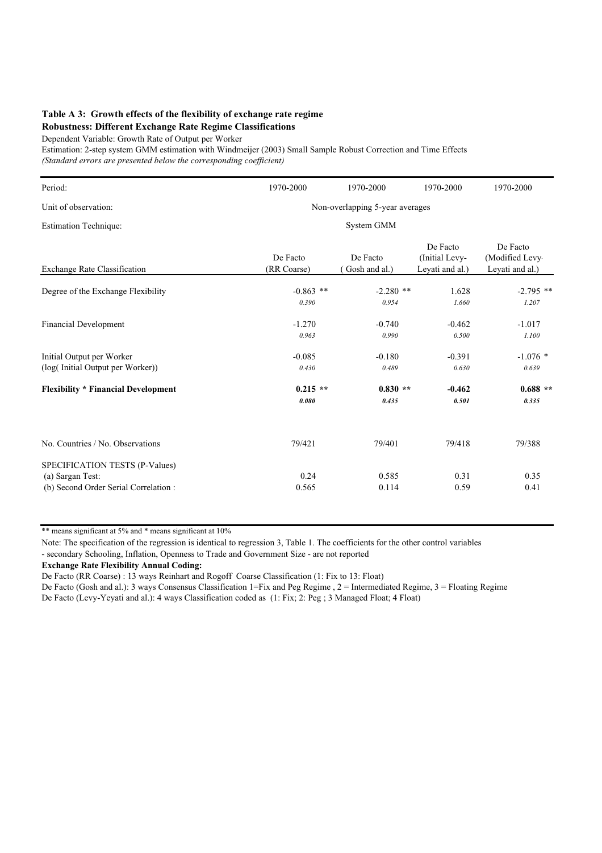### **Table A 3: Growth effects of the flexibility of exchange rate regime Robustness: Different Exchange Rate Regime Classifications**

Dependent Variable: Growth Rate of Output per Worker

Estimation: 2-step system GMM estimation with Windmeijer (2003) Small Sample Robust Correction and Time Effects *(Standard errors are presented below the corresponding coefficient)*

| Period:                                                                                    | 1970-2000                       | 1970-2000                  | 1970-2000                                     | 1970-2000                                     |  |  |  |  |
|--------------------------------------------------------------------------------------------|---------------------------------|----------------------------|-----------------------------------------------|-----------------------------------------------|--|--|--|--|
| Unit of observation:                                                                       | Non-overlapping 5-year averages |                            |                                               |                                               |  |  |  |  |
| <b>Estimation Technique:</b>                                                               | System GMM                      |                            |                                               |                                               |  |  |  |  |
| <b>Exchange Rate Classification</b>                                                        | De Facto<br>(RR Coarse)         | De Facto<br>(Gosh and al.) | De Facto<br>(Initial Levy-<br>Leyati and al.) | De Facto<br>(Modified Levy<br>Leyati and al.) |  |  |  |  |
| Degree of the Exchange Flexibility                                                         | $-0.863$ **<br>0.390            | $-2.280$ **<br>0.954       | 1.628<br>1.660                                | $-2.795$ **<br>1.207                          |  |  |  |  |
| <b>Financial Development</b>                                                               | $-1.270$<br>0.963               | $-0.740$<br>0.990          | $-0.462$<br>0.500                             | $-1.017$<br>1.100                             |  |  |  |  |
| Initial Output per Worker<br>(log(Initial Output per Worker))                              | $-0.085$<br>0.430               | $-0.180$<br>0.489          | $-0.391$<br>0.630                             | $-1.076$ *<br>0.639                           |  |  |  |  |
| <b>Flexibility * Financial Development</b>                                                 | $0.215**$<br>0.080              | $0.830**$<br>0.435         | $-0.462$<br>0.501                             | $0.688**$<br>0.335                            |  |  |  |  |
| No. Countries / No. Observations                                                           | 79/421                          | 79/401                     | 79/418                                        | 79/388                                        |  |  |  |  |
| SPECIFICATION TESTS (P-Values)<br>(a) Sargan Test:<br>(b) Second Order Serial Correlation: | 0.24<br>0.565                   | 0.585<br>0.114             | 0.31<br>0.59                                  | 0.35<br>0.41                                  |  |  |  |  |

\*\* means significant at 5% and \* means significant at 10%

Note: The specification of the regression is identical to regression 3, Table 1. The coefficients for the other control variables - secondary Schooling, Inflation, Openness to Trade and Government Size - are not reported

**Exchange Rate Flexibility Annual Coding:**

De Facto (RR Coarse) : 13 ways Reinhart and Rogoff Coarse Classification (1: Fix to 13: Float)

De Facto (Gosh and al.): 3 ways Consensus Classification 1=Fix and Peg Regime , 2 = Intermediated Regime, 3 = Floating Regime

De Facto (Levy-Yeyati and al.): 4 ways Classification coded as (1: Fix; 2: Peg ; 3 Managed Float; 4 Float)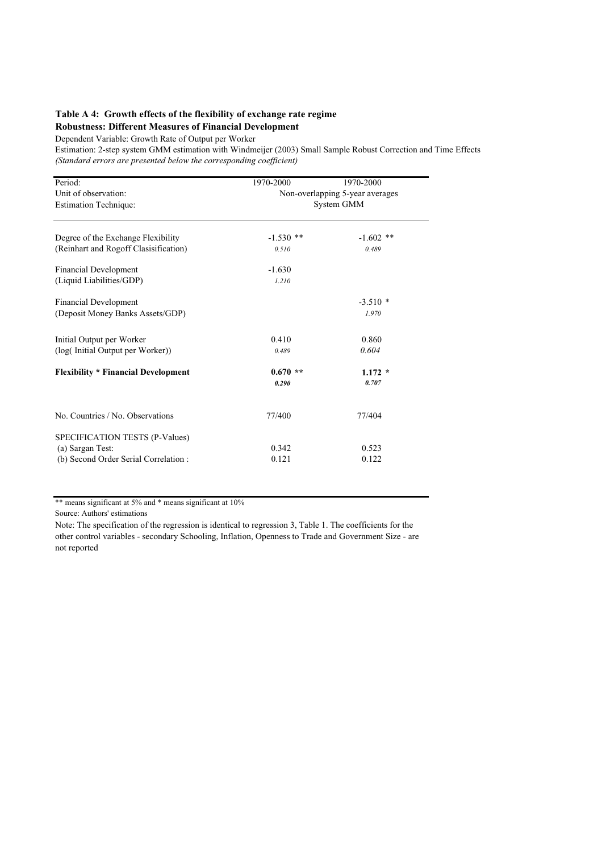### **Table A 4: Growth effects of the flexibility of exchange rate regime Robustness: Different Measures of Financial Development**

Dependent Variable: Growth Rate of Output per Worker

Estimation: 2-step system GMM estimation with Windmeijer (2003) Small Sample Robust Correction and Time Effects *(Standard errors are presented below the corresponding coefficient)*

| Period:                                    | 1970-2000                       | 1970-2000   |  |  |  |
|--------------------------------------------|---------------------------------|-------------|--|--|--|
| Unit of observation:                       | Non-overlapping 5-year averages |             |  |  |  |
| <b>Estimation Technique:</b>               | System GMM                      |             |  |  |  |
|                                            |                                 |             |  |  |  |
|                                            |                                 |             |  |  |  |
| Degree of the Exchange Flexibility         | $-1.530$ **                     | $-1.602$ ** |  |  |  |
| (Reinhart and Rogoff Clasisification)      | 0.510                           | 0.489       |  |  |  |
|                                            |                                 |             |  |  |  |
| <b>Financial Development</b>               | $-1.630$                        |             |  |  |  |
| (Liquid Liabilities/GDP)                   | 1.210                           |             |  |  |  |
|                                            |                                 |             |  |  |  |
| <b>Financial Development</b>               |                                 | $-3.510*$   |  |  |  |
| (Deposit Money Banks Assets/GDP)           |                                 | 1.970       |  |  |  |
|                                            |                                 |             |  |  |  |
| Initial Output per Worker                  | 0.410                           | 0.860       |  |  |  |
| (log(Initial Output per Worker))           | 0.489                           | 0.604       |  |  |  |
|                                            |                                 |             |  |  |  |
| <b>Flexibility * Financial Development</b> | $0.670**$                       | $1.172 *$   |  |  |  |
|                                            | 0.290                           | 0.707       |  |  |  |
|                                            |                                 |             |  |  |  |
|                                            |                                 |             |  |  |  |
| No. Countries / No. Observations           | 77/400                          | 77/404      |  |  |  |
|                                            |                                 |             |  |  |  |
| SPECIFICATION TESTS (P-Values)             |                                 |             |  |  |  |
| (a) Sargan Test:                           | 0.342                           | 0.523       |  |  |  |
| (b) Second Order Serial Correlation:       | 0.121                           | 0.122       |  |  |  |
|                                            |                                 |             |  |  |  |

\*\* means significant at 5% and \* means significant at 10%

Source: Authors' estimations

Note: The specification of the regression is identical to regression 3, Table 1. The coefficients for the other control variables - secondary Schooling, Inflation, Openness to Trade and Government Size - are not reported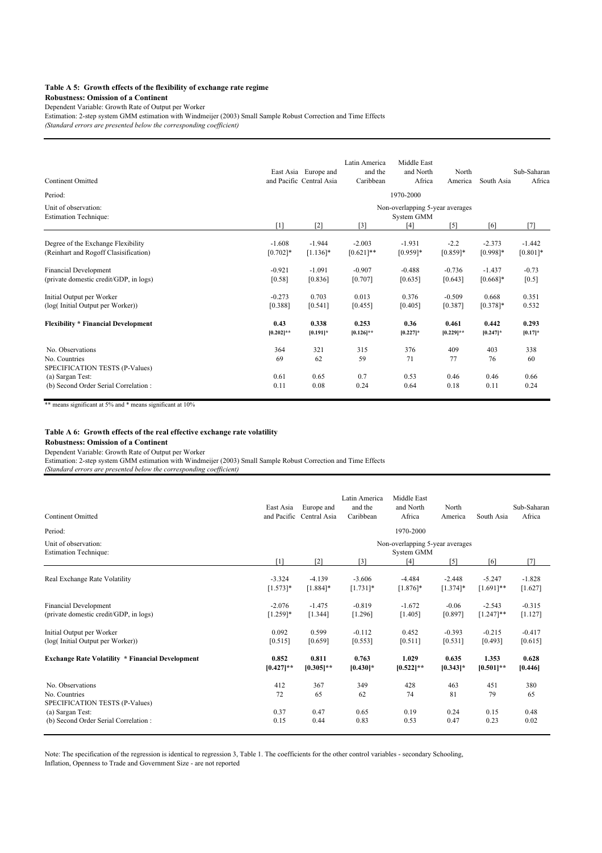#### **Table A 5: Growth effects of the flexibility of exchange rate regime**

### **Robustness: Omission of a Continent**

Dependent Variable: Growth Rate of Output per Worker

Estimation: 2-step system GMM estimation with Windmeijer (2003) Small Sample Robust Correction and Time Effects

*(Standard errors are presented below the corresponding coefficient)*

| <b>Continent Omitted</b>                                                                |                        | East Asia Europe and<br>and Pacific Central Asia | Latin America<br>and the<br>Caribbean | Middle East<br>and North<br>Africa            | North<br>America      | South Asia              | Sub-Saharan<br>Africa   |
|-----------------------------------------------------------------------------------------|------------------------|--------------------------------------------------|---------------------------------------|-----------------------------------------------|-----------------------|-------------------------|-------------------------|
| Period:                                                                                 |                        |                                                  |                                       | 1970-2000                                     |                       |                         |                         |
| Unit of observation:<br><b>Estimation Technique:</b>                                    |                        |                                                  |                                       | Non-overlapping 5-year averages<br>System GMM |                       |                         |                         |
|                                                                                         | $\lceil 1 \rceil$      | $\lceil 2 \rceil$                                | $[3]$                                 | [4]                                           | $[5]$                 | [6]                     | [7]                     |
| Degree of the Exchange Flexibility<br>(Reinhart and Rogoff Clasisification)             | $-1.608$<br>$[0.702]*$ | $-1.944$<br>$[1.136]$ *                          | $-2.003$<br>$[0.621]$ **              | $-1.931$<br>$[0.959]*$                        | $-2.2$<br>$[0.859]$ * | $-2.373$<br>$[0.998]$ * | $-1.442$<br>$[0.801]$ * |
| <b>Financial Development</b><br>(private domestic credit/GDP, in logs)                  | $-0.921$<br>[0.58]     | $-1.091$<br>[0.836]                              | $-0.907$<br>[0.707]                   | $-0.488$<br>[0.635]                           | $-0.736$<br>[0.643]   | $-1.437$<br>$[0.668]$ * | $-0.73$<br>$[0.5]$      |
| Initial Output per Worker<br>(log(Initial Output per Worker))                           | $-0.273$<br>[0.388]    | 0.703<br>[0.541]                                 | 0.013<br>[0.455]                      | 0.376<br>[0.405]                              | $-0.509$<br>[0.387]   | 0.668<br>$[0.378]$ *    | 0.351<br>0.532          |
| <b>Flexibility * Financial Development</b>                                              | 0.43<br>$[0.202]$ **   | 0.338<br>$[0.191]$ *                             | 0.253<br>$[0.126]$ **                 | 0.36<br>$[0.227]$ *                           | 0.461<br>$[0.229]$ ** | 0.442<br>$[0.247]$ *    | 0.293<br>$[0.17]$ *     |
| No. Observations<br>No. Countries<br>SPECIFICATION TESTS (P-Values)<br>(a) Sargan Test: | 364<br>69<br>0.61      | 321<br>62<br>0.65                                | 315<br>59<br>0.7                      | 376<br>71<br>0.53                             | 409<br>77<br>0.46     | 403<br>76<br>0.46       | 338<br>60<br>0.66       |
| (b) Second Order Serial Correlation:                                                    | 0.11                   | 0.08                                             | 0.24                                  | 0.64                                          | 0.18                  | 0.11                    | 0.24                    |

\*\* means significant at 5% and \* means significant at 10%

#### **Table A 6: Growth effects of the real effective exchange rate volatility**

#### **Robustness: Omission of a Continent**

Dependent Variable: Growth Rate of Output per Worker

Estimation: 2-step system GMM estimation with Windmeijer (2003) Small Sample Robust Correction and Time Effects *(Standard errors are presented below the corresponding coefficient)*

| <b>Continent Omitted</b>                                            | East Asia    | Europe and<br>and Pacific Central Asia | Latin America<br>and the<br>Caribbean | Middle East<br>and North<br>Africa            | North<br>America  | South Asia   | Sub-Saharan<br>Africa |
|---------------------------------------------------------------------|--------------|----------------------------------------|---------------------------------------|-----------------------------------------------|-------------------|--------------|-----------------------|
| Period:                                                             |              |                                        |                                       | 1970-2000                                     |                   |              |                       |
| Unit of observation:<br><b>Estimation Technique:</b>                |              |                                        |                                       | Non-overlapping 5-year averages<br>System GMM |                   |              |                       |
|                                                                     | [1]          | [2]                                    | $[3]$                                 | $[4]$                                         | $\lceil 5 \rceil$ | [6]          | [7]                   |
| Real Exchange Rate Volatility                                       | $-3.324$     | $-4.139$                               | $-3.606$                              | $-4.484$                                      | $-2.448$          | $-5.247$     | $-1.828$              |
|                                                                     | $[1.573]*$   | $[1.884]$ *                            | $[1.731]$ *                           | $[1.876]$ *                                   | $[1.374]$ *       | $[1.691]$ ** | [1.627]               |
| <b>Financial Development</b>                                        | $-2.076$     | $-1.475$                               | $-0.819$                              | $-1.672$                                      | $-0.06$           | $-2.543$     | $-0.315$              |
| (private domestic credit/GDP, in logs)                              | $[1.259]*$   | [1.344]                                | [1.296]                               | [1.405]                                       | [0.897]           | $[1.247]**$  | [1.127]               |
| Initial Output per Worker                                           | 0.092        | 0.599                                  | $-0.112$                              | 0.452                                         | $-0.393$          | $-0.215$     | $-0.417$              |
| (log(Initial Output per Worker))                                    | [0.515]      | [0.659]                                | [0.553]                               | [0.511]                                       | $[0.531]$         | [0.493]      | [0.615]               |
| <b>Exchange Rate Volatility * Financial Development</b>             | 0.852        | 0.811                                  | 0.763                                 | 1.029                                         | 0.635             | 1.353        | 0.628                 |
|                                                                     | $[0.427]$ ** | $[0.305]$ **                           | $[0.430]$ *                           | $[0.522]$ **                                  | $[0.343]$ *       | $[0.501]**$  | [0.446]               |
| No. Observations<br>No. Countries<br>SPECIFICATION TESTS (P-Values) | 412<br>72    | 367<br>65                              | 349<br>62                             | 428<br>74                                     | 463<br>81         | 451<br>79    | 380<br>65             |
| (a) Sargan Test:                                                    | 0.37         | 0.47                                   | 0.65                                  | 0.19                                          | 0.24              | 0.15         | 0.48                  |
| (b) Second Order Serial Correlation:                                | 0.15         | 0.44                                   | 0.83                                  | 0.53                                          | 0.47              | 0.23         | 0.02                  |

Note: The specification of the regression is identical to regression 3, Table 1. The coefficients for the other control variables - secondary Schooling, Inflation, Openness to Trade and Government Size - are not reported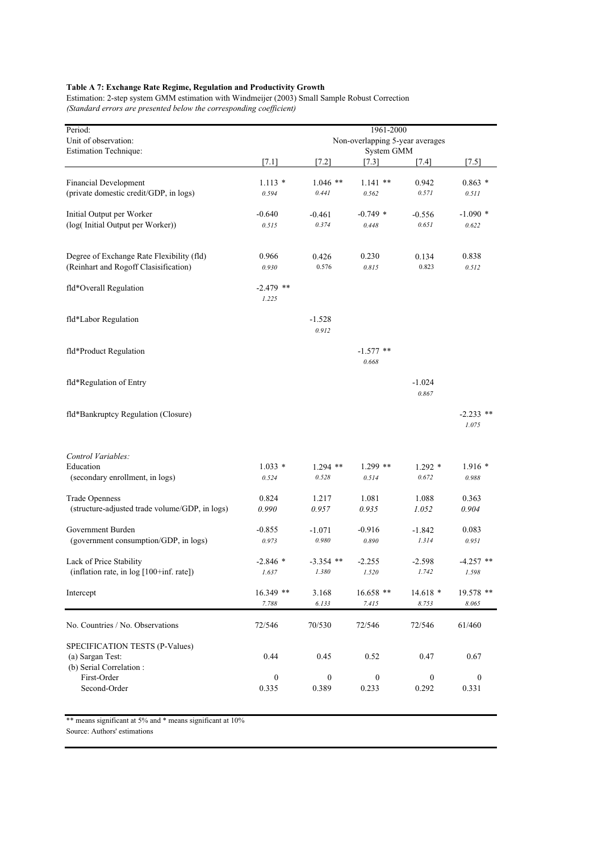### **Table A 7: Exchange Rate Regime, Regulation and Productivity Growth**

Estimation: 2-step system GMM estimation with Windmeijer (2003) Small Sample Robust Correction *(Standard errors are presented below the corresponding coefficient)*

| Period:                                              | 1961-2000                                     |                   |                      |                  |                      |  |  |
|------------------------------------------------------|-----------------------------------------------|-------------------|----------------------|------------------|----------------------|--|--|
| Unit of observation:<br><b>Estimation Technique:</b> | Non-overlapping 5-year averages<br>System GMM |                   |                      |                  |                      |  |  |
|                                                      | $[7.1]$                                       | $[7.2]$           | [7.3]                | $[7.4]$          | $[7.5]$              |  |  |
| Financial Development                                | $1.113*$                                      | $1.046$ **        | $1.141$ **           | 0.942            | $0.863*$             |  |  |
| (private domestic credit/GDP, in logs)               | 0.594                                         | 0.441             | 0.562                | 0.571            | 0.511                |  |  |
| Initial Output per Worker                            | $-0.640$                                      | $-0.461$          | $-0.749$ *           | $-0.556$         | $-1.090*$            |  |  |
| (log(Initial Output per Worker))                     | 0.515                                         | 0.374             | 0.448                | 0.651            | 0.622                |  |  |
| Degree of Exchange Rate Flexibility (fld)            | 0.966                                         | 0.426             | 0.230                | 0.134            | 0.838                |  |  |
| (Reinhart and Rogoff Clasisification)                | 0.930                                         | 0.576             | 0.815                | 0.823            | 0.512                |  |  |
| fld*Overall Regulation                               | $-2.479$ **<br>1.225                          |                   |                      |                  |                      |  |  |
| fld*Labor Regulation                                 |                                               | $-1.528$<br>0.912 |                      |                  |                      |  |  |
| fld*Product Regulation                               |                                               |                   | $-1.577$ **<br>0.668 |                  |                      |  |  |
| fld*Regulation of Entry                              |                                               |                   |                      | -1.024<br>0.867  |                      |  |  |
| fld*Bankruptcy Regulation (Closure)                  |                                               |                   |                      |                  | $-2.233$ **<br>1.075 |  |  |
| Control Variables:                                   |                                               |                   |                      |                  |                      |  |  |
| Education                                            | $1.033*$                                      | $1.294$ **        | $1.299$ **           | $1.292*$         | $1.916*$             |  |  |
| (secondary enrollment, in logs)                      | 0.524                                         | 0.528             | 0.514                | 0.672            | 0.988                |  |  |
| <b>Trade Openness</b>                                | 0.824                                         | 1.217             | 1.081                | 1.088            | 0.363                |  |  |
| (structure-adjusted trade volume/GDP, in logs)       | 0.990                                         | 0.957             | 0.935                | 1.052            | 0.904                |  |  |
| Government Burden                                    | $-0.855$                                      | $-1.071$          | $-0.916$             | $-1.842$         | 0.083                |  |  |
| (government consumption/GDP, in logs)                | 0.973                                         | 0.980             | 0.890                | 1.314            | 0.951                |  |  |
| Lack of Price Stability                              | $-2.846*$                                     | $-3.354$ **       | $-2.255$             | $-2.598$         | $-4.257$ **          |  |  |
| (inflation rate, in log [100+inf. rate])             | 1.637                                         | 1.380             | 1.520                | 1.742            | 1.598                |  |  |
| Intercept                                            | $16.349$ **                                   | 3.168             | $16.658$ **          | $14.618*$        | $19.578$ **          |  |  |
|                                                      | 7.788                                         | 6.133             | 7.415                | 8.753            | 8.065                |  |  |
| No. Countries / No. Observations                     | 72/546                                        | 70/530            | 72/546               | 72/546           | 61/460               |  |  |
| SPECIFICATION TESTS (P-Values)                       |                                               |                   |                      |                  |                      |  |  |
| (a) Sargan Test:<br>(b) Serial Correlation:          | 0.44                                          | 0.45              | 0.52                 | 0.47             | 0.67                 |  |  |
| First-Order                                          | $\boldsymbol{0}$                              | $\boldsymbol{0}$  | $\boldsymbol{0}$     | $\boldsymbol{0}$ | $\boldsymbol{0}$     |  |  |
| Second-Order                                         | 0.335                                         | 0.389             | 0.233                | 0.292            | 0.331                |  |  |

\*\* means significant at 5% and \* means significant at 10%

Source: Authors' estimations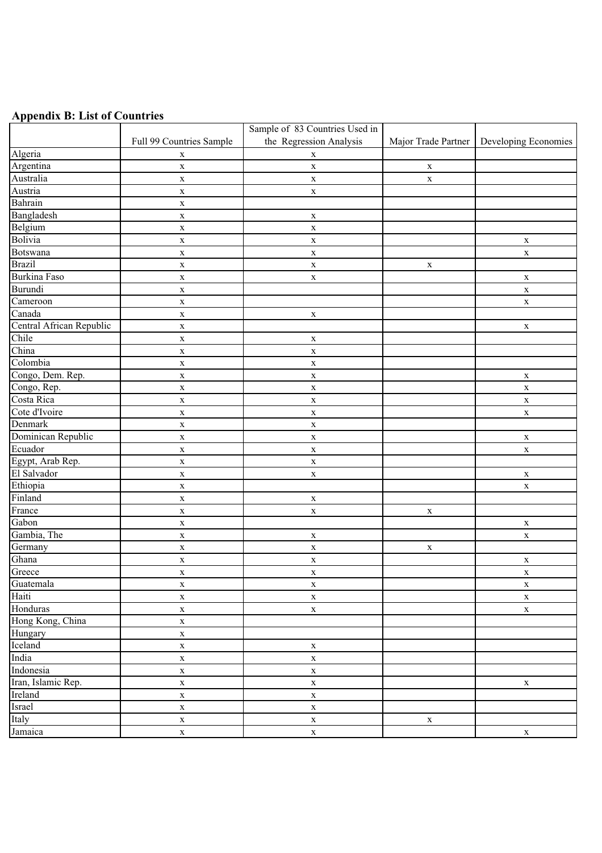# **Appendix B: List of Countries**

|                               |                          | Sample of 83 Countries Used in |                     |                      |
|-------------------------------|--------------------------|--------------------------------|---------------------|----------------------|
|                               | Full 99 Countries Sample | the Regression Analysis        | Major Trade Partner | Developing Economies |
| Algeria                       | $\mathbf X$              | $\mathbf X$                    |                     |                      |
| Argentina                     | $\mathbf X$              | $\mathbf X$                    | $\mathbf X$         |                      |
| Australia                     | $\mathbf X$              | $\mathbf X$                    | $\mathbf X$         |                      |
| Austria                       | $\mathbf X$              | $\mathbf X$                    |                     |                      |
| Bahrain                       | $\mathbf X$              |                                |                     |                      |
| Bangladesh                    | $\mathbf X$              | $\mathbf X$                    |                     |                      |
| Belgium                       | $\mathbf X$              | $\mathbf X$                    |                     |                      |
| Bolivia                       | $\mathbf X$              | $\mathbf X$                    |                     | $\mathbf X$          |
| <b>Botswana</b>               | $\mathbf X$              | $\mathbf X$                    |                     | $\mathbf X$          |
| <b>Brazil</b>                 | $\mathbf X$              | $\mathbf X$                    | $\mathbf X$         |                      |
| <b>Burkina Faso</b>           | $\mathbf X$              | $\mathbf X$                    |                     | $\mathbf X$          |
| Burundi                       | $\mathbf X$              |                                |                     | $\mathbf X$          |
| $\overline{\text{C}}$ ameroon | $\mathbf X$              |                                |                     | $\mathbf X$          |
| Canada                        | $\mathbf X$              | $\mathbf X$                    |                     |                      |
| Central African Republic      | $\mathbf X$              |                                |                     | $\mathbf X$          |
| Chile                         | $\mathbf X$              | $\mathbf X$                    |                     |                      |
| China                         | $\mathbf X$              | $\mathbf X$                    |                     |                      |
| Colombia                      | $\mathbf X$              | $\mathbf X$                    |                     |                      |
| Congo, Dem. Rep.              | $\mathbf X$              | $\mathbf X$                    |                     | $\mathbf X$          |
| Congo, Rep.                   | $\mathbf X$              | $\mathbf X$                    |                     | $\mathbf X$          |
| Costa Rica                    | $\mathbf X$              | $\mathbf X$                    |                     | $\mathbf X$          |
| Cote d'Ivoire                 | $\mathbf X$              | $\mathbf X$                    |                     | $\mathbf X$          |
| Denmark                       | $\mathbf X$              | $\mathbf X$                    |                     |                      |
| Dominican Republic            | $\mathbf X$              | $\mathbf X$                    |                     | $\mathbf X$          |
| Ecuador                       | $\mathbf X$              | $\mathbf X$                    |                     | $\mathbf X$          |
| Egypt, Arab Rep.              | $\mathbf X$              | $\mathbf X$                    |                     |                      |
| El Salvador                   | $\mathbf X$              | $\mathbf X$                    |                     | $\mathbf X$          |
| Ethiopia                      | $\mathbf X$              |                                |                     | $\mathbf X$          |
| Finland                       | $\mathbf X$              | $\mathbf X$                    |                     |                      |
| France                        | $\mathbf X$              | $\mathbf X$                    | $\mathbf X$         |                      |
| Gabon                         | $\mathbf X$              |                                |                     | $\mathbf X$          |
| Gambia, The                   | $\mathbf X$              | $\mathbf X$                    |                     | $\mathbf X$          |
| Germany                       | $\mathbf X$              | $\mathbf X$                    | $\mathbf X$         |                      |
| Ghana                         | $\mathbf X$              | $\mathbf X$                    |                     | $\mathbf X$          |
| Greece                        | $\mathbf X$              | $\mathbf X$                    |                     | $\mathbf X$          |
| Guatemala                     | $\mathbf X$              | $\mathbf X$                    |                     | $\mathbf X$          |
| Haiti                         | $\mathbf X$              | $\mathbf X$                    |                     | $\mathbf X$          |
| Honduras                      | $\mathbf X$              | $\mathbf X$                    |                     | $\mathbf X$          |
| Hong Kong, China              | $\mathbf X$              |                                |                     |                      |
| Hungary                       | $\mathbf X$              |                                |                     |                      |
| Iceland                       | $\mathbf X$              | $\mathbf X$                    |                     |                      |
| India                         | $\mathbf X$              | $\mathbf X$                    |                     |                      |
| Indonesia                     | $\mathbf X$              | $\mathbf X$                    |                     |                      |
| Iran, Islamic Rep.            | $\mathbf X$              | $\mathbf X$                    |                     | $\mathbf X$          |
| Ireland                       | $\mathbf X$              | $\mathbf X$                    |                     |                      |
| Israel                        | $\mathbf X$              | $\mathbf X$                    |                     |                      |
| Italy                         | $\mathbf X$              | $\mathbf X$                    | $\mathbf X$         |                      |
| Jamaica                       | $\mathbf X$              | $\mathbf X$                    |                     | $\mathbf X$          |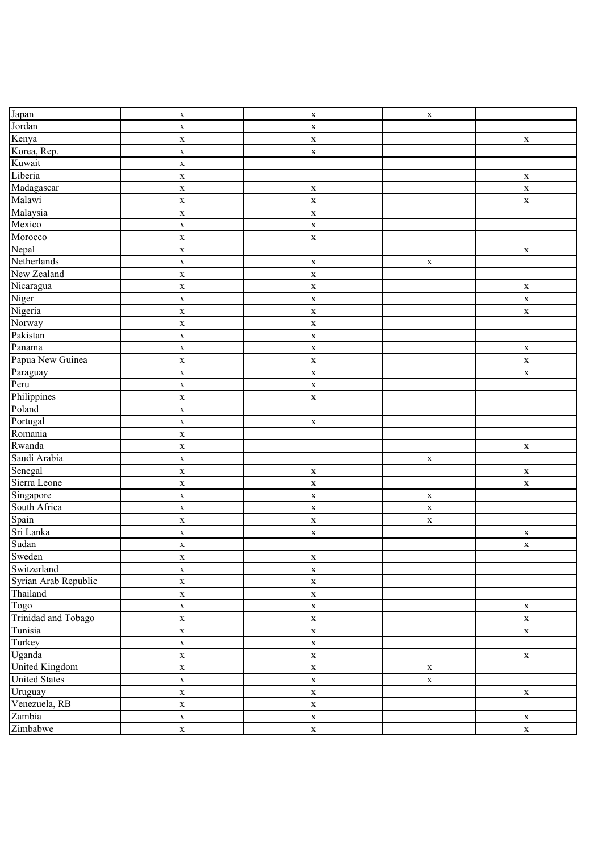| Japan                       | $\mathbf X$ | $\mathbf X$ | $\mathbf X$ |             |
|-----------------------------|-------------|-------------|-------------|-------------|
| Jordan                      | $\mathbf X$ | $\mathbf X$ |             |             |
| Kenya                       | $\mathbf X$ | $\mathbf X$ |             | $\mathbf X$ |
| Korea, Rep.                 | $\mathbf X$ | $\mathbf X$ |             |             |
| Kuwait                      | $\mathbf X$ |             |             |             |
| Liberia                     | $\mathbf X$ |             |             | $\mathbf X$ |
| Madagascar                  | $\mathbf X$ | $\mathbf X$ |             | $\mathbf X$ |
| Malawi                      | $\mathbf X$ | $\mathbf X$ |             | $\mathbf X$ |
| Malaysia                    | $\mathbf X$ | $\mathbf X$ |             |             |
| Mexico                      | $\mathbf X$ | $\mathbf X$ |             |             |
| Morocco                     | $\mathbf X$ | $\mathbf X$ |             |             |
| Nepal                       | $\mathbf X$ |             |             | $\mathbf X$ |
| Netherlands                 | $\mathbf X$ | $\mathbf X$ | $\mathbf X$ |             |
| New Zealand                 | $\mathbf X$ | $\mathbf X$ |             |             |
| Nicaragua                   | $\mathbf X$ | $\mathbf X$ |             | $\mathbf X$ |
| Niger                       | $\mathbf X$ | $\mathbf X$ |             | $\mathbf X$ |
| Nigeria                     | $\mathbf X$ | $\mathbf X$ |             | $\mathbf X$ |
| Norway                      | $\mathbf X$ | $\mathbf X$ |             |             |
| Pakistan                    | $\mathbf X$ | $\mathbf X$ |             |             |
| Panama                      | $\mathbf X$ | $\mathbf X$ |             | $\mathbf X$ |
| Papua New Guinea            | $\mathbf X$ | $\mathbf X$ |             | $\mathbf X$ |
| Paraguay                    |             |             |             |             |
| Peru                        | $\mathbf X$ | $\mathbf X$ |             | $\mathbf X$ |
| Philippines                 | $\mathbf X$ | $\mathbf X$ |             |             |
| Poland                      | $\mathbf X$ | $\mathbf X$ |             |             |
|                             | $\mathbf X$ |             |             |             |
| Portugal                    | $\mathbf X$ | $\mathbf X$ |             |             |
| Romania                     | $\mathbf X$ |             |             |             |
| Rwanda                      | $\mathbf X$ |             |             | $\mathbf X$ |
| Saudi Arabia                | $\mathbf X$ |             | $\mathbf X$ |             |
| Senegal                     | $\mathbf X$ | $\mathbf X$ |             | $\mathbf X$ |
| Sierra Leone                | $\mathbf X$ | $\mathbf X$ |             | $\mathbf X$ |
| Singapore                   | $\mathbf X$ | $\mathbf X$ | $\mathbf X$ |             |
| South Africa                | $\mathbf X$ | $\mathbf X$ | $\mathbf X$ |             |
| Spain                       | $\mathbf X$ | $\mathbf X$ | $\mathbf X$ |             |
| Sri Lanka                   | $\mathbf X$ | $\mathbf X$ |             | $\mathbf X$ |
| Sudan                       | $\mathbf X$ |             |             | $\mathbf X$ |
| Sweden                      | $\mathbf X$ | $\mathbf X$ |             |             |
| Switzerland                 | $\mathbf X$ | $\mathbf X$ |             |             |
| Syrian Arab Republic        | $\mathbf X$ | $\mathbf X$ |             |             |
| Thailand                    | $\mathbf X$ | $\mathbf X$ |             |             |
| $\overline{\mathrm{T}}$ ogo | $\mathbf X$ | $\mathbf X$ |             | $\mathbf X$ |
| Trinidad and Tobago         | $\mathbf X$ | $\mathbf X$ |             | $\mathbf X$ |
| Tunisia                     | $\mathbf X$ | $\mathbf X$ |             | $\mathbf X$ |
| Turkey                      | $\mathbf X$ | $\mathbf X$ |             |             |
| Uganda                      | $\mathbf X$ | $\mathbf X$ |             | $\mathbf X$ |
| <b>United Kingdom</b>       | $\mathbf X$ | $\mathbf X$ | $\mathbf X$ |             |
| <b>United States</b>        | $\mathbf X$ | $\mathbf X$ | $\mathbf X$ |             |
| Uruguay                     | $\mathbf X$ | $\mathbf X$ |             | $\mathbf X$ |
| Venezuela, RB               | $\mathbf X$ | $\mathbf X$ |             |             |
| Zambia                      | $\mathbf X$ | $\mathbf X$ |             | $\mathbf X$ |
| Zimbabwe                    | $\mathbf X$ | $\mathbf X$ |             | $\mathbf X$ |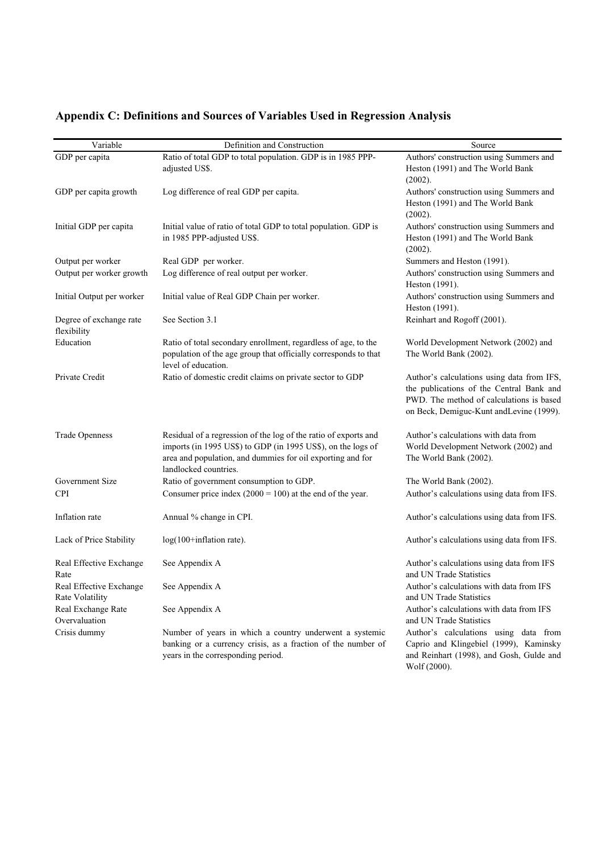| Variable                                   | Definition and Construction                                                                                                                                                                                            | Source                                                                                                                                                                        |
|--------------------------------------------|------------------------------------------------------------------------------------------------------------------------------------------------------------------------------------------------------------------------|-------------------------------------------------------------------------------------------------------------------------------------------------------------------------------|
| GDP per capita                             | Ratio of total GDP to total population. GDP is in 1985 PPP-<br>adjusted US\$.                                                                                                                                          | Authors' construction using Summers and<br>Heston (1991) and The World Bank<br>(2002).                                                                                        |
| GDP per capita growth                      | Log difference of real GDP per capita.                                                                                                                                                                                 | Authors' construction using Summers and<br>Heston (1991) and The World Bank<br>(2002).                                                                                        |
| Initial GDP per capita                     | Initial value of ratio of total GDP to total population. GDP is<br>in 1985 PPP-adjusted US\$.                                                                                                                          | Authors' construction using Summers and<br>Heston (1991) and The World Bank<br>(2002).                                                                                        |
| Output per worker                          | Real GDP per worker.                                                                                                                                                                                                   | Summers and Heston (1991).                                                                                                                                                    |
| Output per worker growth                   | Log difference of real output per worker.                                                                                                                                                                              | Authors' construction using Summers and<br>Heston (1991).                                                                                                                     |
| Initial Output per worker                  | Initial value of Real GDP Chain per worker.                                                                                                                                                                            | Authors' construction using Summers and<br>Heston (1991).                                                                                                                     |
| Degree of exchange rate<br>flexibility     | See Section 3.1                                                                                                                                                                                                        | Reinhart and Rogoff (2001).                                                                                                                                                   |
| Education                                  | Ratio of total secondary enrollment, regardless of age, to the<br>population of the age group that officially corresponds to that<br>level of education.                                                               | World Development Network (2002) and<br>The World Bank (2002).                                                                                                                |
| Private Credit                             | Ratio of domestic credit claims on private sector to GDP                                                                                                                                                               | Author's calculations using data from IFS,<br>the publications of the Central Bank and<br>PWD. The method of calculations is based<br>on Beck, Demiguc-Kunt andLevine (1999). |
| <b>Trade Openness</b>                      | Residual of a regression of the log of the ratio of exports and<br>imports (in 1995 US\$) to GDP (in 1995 US\$), on the logs of<br>area and population, and dummies for oil exporting and for<br>landlocked countries. | Author's calculations with data from<br>World Development Network (2002) and<br>The World Bank (2002).                                                                        |
| Government Size                            | Ratio of government consumption to GDP.                                                                                                                                                                                | The World Bank (2002).                                                                                                                                                        |
| <b>CPI</b>                                 | Consumer price index $(2000 = 100)$ at the end of the year.                                                                                                                                                            | Author's calculations using data from IFS.                                                                                                                                    |
| Inflation rate                             | Annual % change in CPI.                                                                                                                                                                                                | Author's calculations using data from IFS.                                                                                                                                    |
| Lack of Price Stability                    | $log(100 + inflation rate)$ .                                                                                                                                                                                          | Author's calculations using data from IFS.                                                                                                                                    |
| Real Effective Exchange<br>Rate            | See Appendix A                                                                                                                                                                                                         | Author's calculations using data from IFS<br>and UN Trade Statistics                                                                                                          |
| Real Effective Exchange<br>Rate Volatility | See Appendix A                                                                                                                                                                                                         | Author's calculations with data from IFS<br>and UN Trade Statistics                                                                                                           |
| Real Exchange Rate<br>Overvaluation        | See Appendix A                                                                                                                                                                                                         | Author's calculations with data from IFS<br>and UN Trade Statistics                                                                                                           |
| Crisis dummy                               | Number of years in which a country underwent a systemic<br>banking or a currency crisis, as a fraction of the number of<br>years in the corresponding period.                                                          | Author's calculations using data from<br>Caprio and Klingebiel (1999), Kaminsky<br>and Reinhart (1998), and Gosh, Gulde and                                                   |

Wolf (2000).

# **Appendix C: Definitions and Sources of Variables Used in Regression Analysis**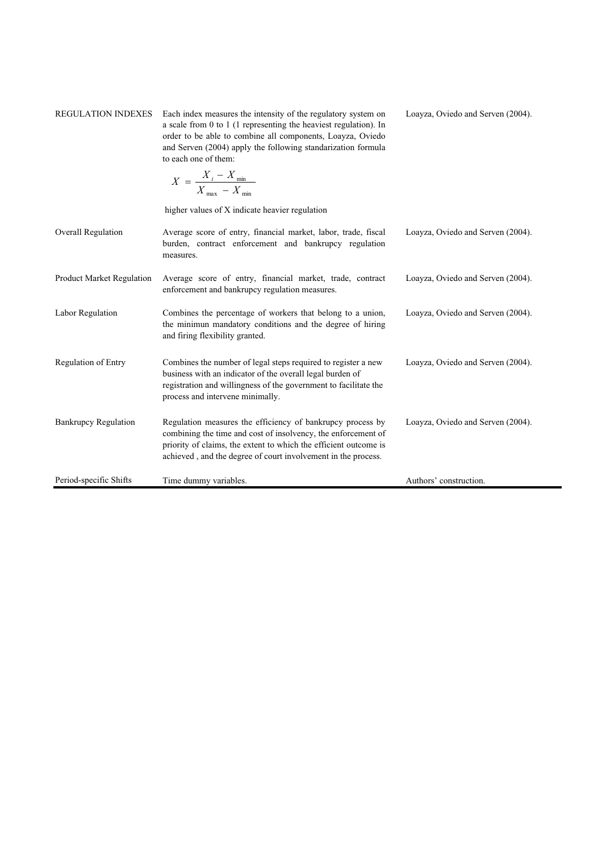| <b>REGULATION INDEXES</b>        | Each index measures the intensity of the regulatory system on<br>a scale from 0 to 1 (1 representing the heaviest regulation). In<br>order to be able to combine all components, Loayza, Oviedo<br>and Serven (2004) apply the following standarization formula<br>to each one of them: | Loayza, Oviedo and Serven (2004). |
|----------------------------------|-----------------------------------------------------------------------------------------------------------------------------------------------------------------------------------------------------------------------------------------------------------------------------------------|-----------------------------------|
|                                  | $X = \frac{X_i - X_{\min}}{X_{\max} - X_{\min}}$                                                                                                                                                                                                                                        |                                   |
|                                  | higher values of X indicate heavier regulation                                                                                                                                                                                                                                          |                                   |
| Overall Regulation               | Average score of entry, financial market, labor, trade, fiscal<br>burden, contract enforcement and bankrupcy regulation<br>measures.                                                                                                                                                    | Loayza, Oviedo and Serven (2004). |
| <b>Product Market Regulation</b> | Average score of entry, financial market, trade, contract<br>enforcement and bankrupcy regulation measures.                                                                                                                                                                             | Loayza, Oviedo and Serven (2004). |
| Labor Regulation                 | Combines the percentage of workers that belong to a union,<br>the minimun mandatory conditions and the degree of hiring<br>and firing flexibility granted.                                                                                                                              | Loayza, Oviedo and Serven (2004). |
| Regulation of Entry              | Combines the number of legal steps required to register a new<br>business with an indicator of the overall legal burden of<br>registration and willingness of the government to facilitate the<br>process and intervene minimally.                                                      | Loayza, Oviedo and Serven (2004). |
| <b>Bankrupcy Regulation</b>      | Regulation measures the efficiency of bankrupcy process by<br>combining the time and cost of insolvency, the enforcement of<br>priority of claims, the extent to which the efficient outcome is<br>achieved, and the degree of court involvement in the process.                        | Loayza, Oviedo and Serven (2004). |
| Period-specific Shifts           | Time dummy variables.                                                                                                                                                                                                                                                                   | Authors' construction.            |